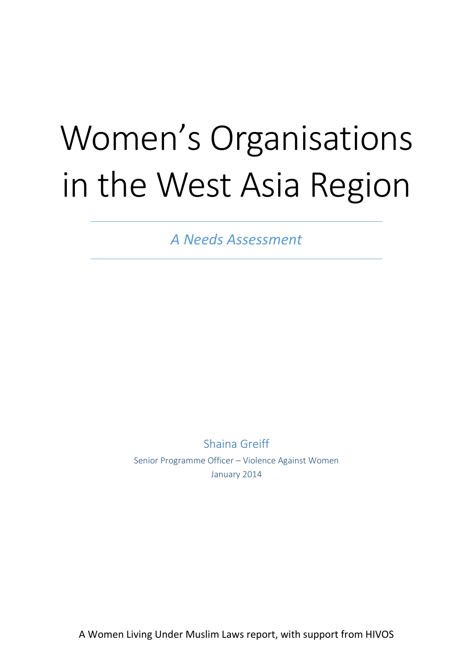# Women's Organisations in the West Asia Region

*A Needs Assessment*

Shaina Greiff Senior Programme Officer – Violence Against Women January 2014

A Women Living Under Muslim Laws report, with support from HIVOS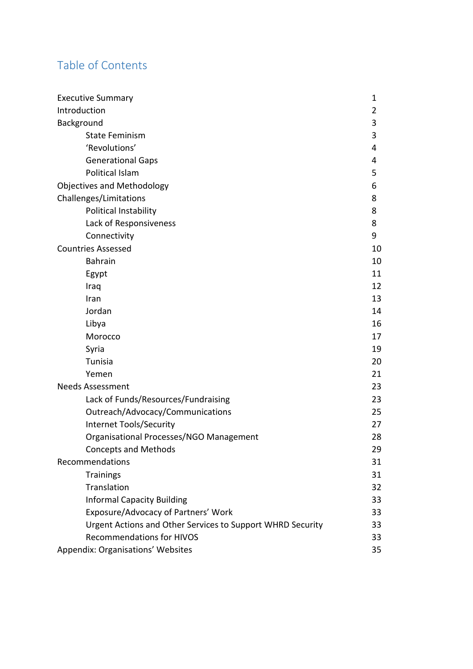# Table of Contents

| <b>Executive Summary</b>                                   | 1  |
|------------------------------------------------------------|----|
| Introduction                                               | 2  |
| Background                                                 | 3  |
| <b>State Feminism</b>                                      | 3  |
| 'Revolutions'                                              | 4  |
| <b>Generational Gaps</b>                                   | 4  |
| Political Islam                                            | 5  |
| <b>Objectives and Methodology</b>                          | 6  |
| Challenges/Limitations                                     | 8  |
| Political Instability                                      | 8  |
| Lack of Responsiveness                                     | 8  |
| Connectivity                                               | 9  |
| <b>Countries Assessed</b>                                  | 10 |
| <b>Bahrain</b>                                             | 10 |
| Egypt                                                      | 11 |
| Iraq                                                       | 12 |
| Iran                                                       | 13 |
| Jordan                                                     | 14 |
| Libya                                                      | 16 |
| Morocco                                                    | 17 |
| Syria                                                      | 19 |
| Tunisia                                                    | 20 |
| Yemen                                                      | 21 |
| <b>Needs Assessment</b>                                    | 23 |
| Lack of Funds/Resources/Fundraising                        | 23 |
| Outreach/Advocacy/Communications                           | 25 |
| Internet Tools/Security                                    | 27 |
| Organisational Processes/NGO Management                    | 28 |
| <b>Concepts and Methods</b>                                | 29 |
| Recommendations                                            | 31 |
| <b>Trainings</b>                                           | 31 |
| Translation                                                | 32 |
| <b>Informal Capacity Building</b>                          | 33 |
| Exposure/Advocacy of Partners' Work                        | 33 |
| Urgent Actions and Other Services to Support WHRD Security | 33 |
| <b>Recommendations for HIVOS</b>                           | 33 |
| Appendix: Organisations' Websites                          | 35 |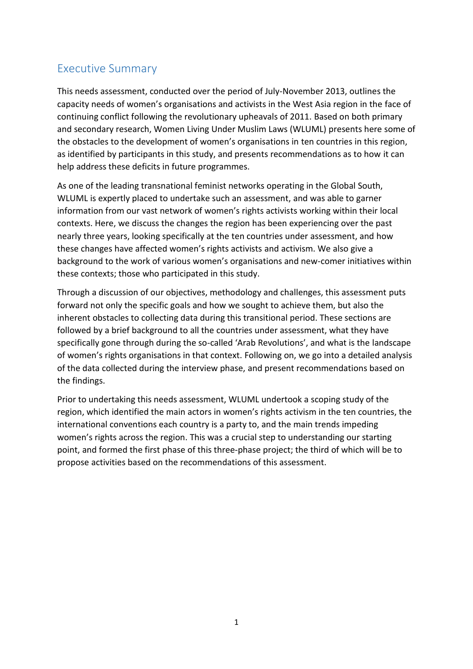# Executive Summary

This needs assessment, conducted over the period of July-November 2013, outlines the capacity needs of women's organisations and activists in the West Asia region in the face of continuing conflict following the revolutionary upheavals of 2011. Based on both primary and secondary research, Women Living Under Muslim Laws (WLUML) presents here some of the obstacles to the development of women's organisations in ten countries in this region, as identified by participants in this study, and presents recommendations as to how it can help address these deficits in future programmes.

As one of the leading transnational feminist networks operating in the Global South, WLUML is expertly placed to undertake such an assessment, and was able to garner information from our vast network of women's rights activists working within their local contexts. Here, we discuss the changes the region has been experiencing over the past nearly three years, looking specifically at the ten countries under assessment, and how these changes have affected women's rights activists and activism. We also give a background to the work of various women's organisations and new-comer initiatives within these contexts; those who participated in this study.

Through a discussion of our objectives, methodology and challenges, this assessment puts forward not only the specific goals and how we sought to achieve them, but also the inherent obstacles to collecting data during this transitional period. These sections are followed by a brief background to all the countries under assessment, what they have specifically gone through during the so-called 'Arab Revolutions', and what is the landscape of women's rights organisations in that context. Following on, we go into a detailed analysis of the data collected during the interview phase, and present recommendations based on the findings.

Prior to undertaking this needs assessment, WLUML undertook a scoping study of the region, which identified the main actors in women's rights activism in the ten countries, the international conventions each country is a party to, and the main trends impeding women's rights across the region. This was a crucial step to understanding our starting point, and formed the first phase of this three-phase project; the third of which will be to propose activities based on the recommendations of this assessment.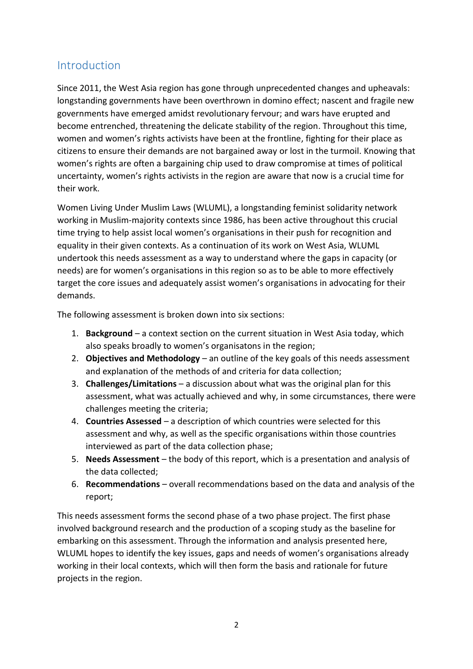# Introduction

Since 2011, the West Asia region has gone through unprecedented changes and upheavals: longstanding governments have been overthrown in domino effect; nascent and fragile new governments have emerged amidst revolutionary fervour; and wars have erupted and become entrenched, threatening the delicate stability of the region. Throughout this time, women and women's rights activists have been at the frontline, fighting for their place as citizens to ensure their demands are not bargained away or lost in the turmoil. Knowing that women's rights are often a bargaining chip used to draw compromise at times of political uncertainty, women's rights activists in the region are aware that now is a crucial time for their work.

Women Living Under Muslim Laws (WLUML), a longstanding feminist solidarity network working in Muslim-majority contexts since 1986, has been active throughout this crucial time trying to help assist local women's organisations in their push for recognition and equality in their given contexts. As a continuation of its work on West Asia, WLUML undertook this needs assessment as a way to understand where the gaps in capacity (or needs) are for women's organisations in this region so as to be able to more effectively target the core issues and adequately assist women's organisations in advocating for their demands.

The following assessment is broken down into six sections:

- 1. **Background** a context section on the current situation in West Asia today, which also speaks broadly to women's organisatons in the region;
- 2. **Objectives and Methodology** an outline of the key goals of this needs assessment and explanation of the methods of and criteria for data collection;
- 3. **Challenges/Limitations** a discussion about what was the original plan for this assessment, what was actually achieved and why, in some circumstances, there were challenges meeting the criteria;
- 4. **Countries Assessed** a description of which countries were selected for this assessment and why, as well as the specific organisations within those countries interviewed as part of the data collection phase;
- 5. **Needs Assessment** the body of this report, which is a presentation and analysis of the data collected;
- 6. **Recommendations**  overall recommendations based on the data and analysis of the report;

This needs assessment forms the second phase of a two phase project. The first phase involved background research and the production of a scoping study as the baseline for embarking on this assessment. Through the information and analysis presented here, WLUML hopes to identify the key issues, gaps and needs of women's organisations already working in their local contexts, which will then form the basis and rationale for future projects in the region.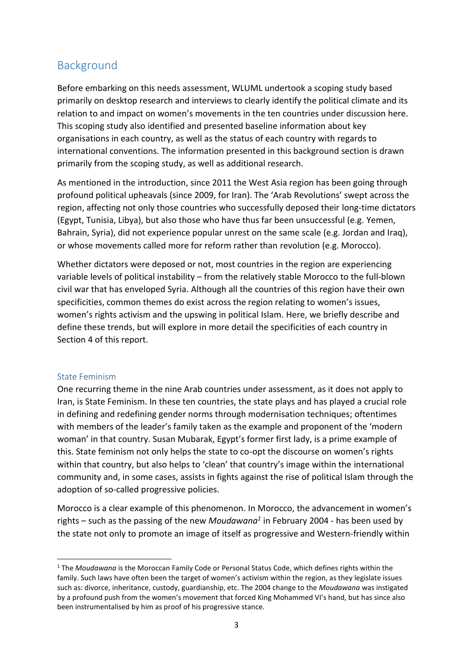# Background

Before embarking on this needs assessment, WLUML undertook a scoping study based primarily on desktop research and interviews to clearly identify the political climate and its relation to and impact on women's movements in the ten countries under discussion here. This scoping study also identified and presented baseline information about key organisations in each country, as well as the status of each country with regards to international conventions. The information presented in this background section is drawn primarily from the scoping study, as well as additional research.

As mentioned in the introduction, since 2011 the West Asia region has been going through profound political upheavals (since 2009, for Iran). The 'Arab Revolutions' swept across the region, affecting not only those countries who successfully deposed their long-time dictators (Egypt, Tunisia, Libya), but also those who have thus far been unsuccessful (e.g. Yemen, Bahrain, Syria), did not experience popular unrest on the same scale (e.g. Jordan and Iraq), or whose movements called more for reform rather than revolution (e.g. Morocco).

Whether dictators were deposed or not, most countries in the region are experiencing variable levels of political instability – from the relatively stable Morocco to the full-blown civil war that has enveloped Syria. Although all the countries of this region have their own specificities, common themes do exist across the region relating to women's issues, women's rights activism and the upswing in political Islam. Here, we briefly describe and define these trends, but will explore in more detail the specificities of each country in Section 4 of this report.

## State Feminism

 $\overline{a}$ 

One recurring theme in the nine Arab countries under assessment, as it does not apply to Iran, is State Feminism. In these ten countries, the state plays and has played a crucial role in defining and redefining gender norms through modernisation techniques; oftentimes with members of the leader's family taken as the example and proponent of the 'modern woman' in that country. Susan Mubarak, Egypt's former first lady, is a prime example of this. State feminism not only helps the state to co-opt the discourse on women's rights within that country, but also helps to 'clean' that country's image within the international community and, in some cases, assists in fights against the rise of political Islam through the adoption of so-called progressive policies.

Morocco is a clear example of this phenomenon. In Morocco, the advancement in women's rights – such as the passing of the new *Moudawana<sup>1</sup>* in February 2004 - has been used by the state not only to promote an image of itself as progressive and Western-friendly within

<sup>1</sup> The *Moudawana* is the Moroccan Family Code or Personal Status Code, which defines rights within the family. Such laws have often been the target of women's activism within the region, as they legislate issues such as: divorce, inheritance, custody, guardianship, etc. The 2004 change to the *Moudawana* was instigated by a profound push from the women's movement that forced King Mohammed VI's hand, but has since also been instrumentalised by him as proof of his progressive stance.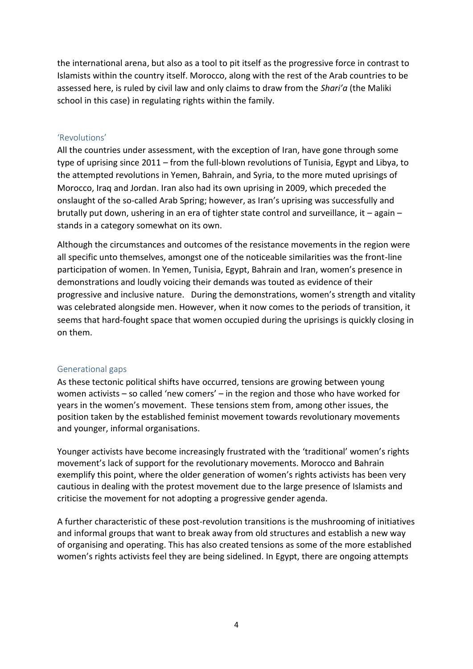the international arena, but also as a tool to pit itself as the progressive force in contrast to Islamists within the country itself. Morocco, along with the rest of the Arab countries to be assessed here, is ruled by civil law and only claims to draw from the *Shari'a* (the Maliki school in this case) in regulating rights within the family.

#### 'Revolutions'

All the countries under assessment, with the exception of Iran, have gone through some type of uprising since 2011 – from the full-blown revolutions of Tunisia, Egypt and Libya, to the attempted revolutions in Yemen, Bahrain, and Syria, to the more muted uprisings of Morocco, Iraq and Jordan. Iran also had its own uprising in 2009, which preceded the onslaught of the so-called Arab Spring; however, as Iran's uprising was successfully and brutally put down, ushering in an era of tighter state control and surveillance, it – again – stands in a category somewhat on its own.

Although the circumstances and outcomes of the resistance movements in the region were all specific unto themselves, amongst one of the noticeable similarities was the front-line participation of women. In Yemen, Tunisia, Egypt, Bahrain and Iran, women's presence in demonstrations and loudly voicing their demands was touted as evidence of their progressive and inclusive nature. During the demonstrations, women's strength and vitality was celebrated alongside men. However, when it now comes to the periods of transition, it seems that hard-fought space that women occupied during the uprisings is quickly closing in on them.

#### Generational gaps

As these tectonic political shifts have occurred, tensions are growing between young women activists – so called 'new comers' – in the region and those who have worked for years in the women's movement. These tensions stem from, among other issues, the position taken by the established feminist movement towards revolutionary movements and younger, informal organisations.

Younger activists have become increasingly frustrated with the 'traditional' women's rights movement's lack of support for the revolutionary movements. Morocco and Bahrain exemplify this point, where the older generation of women's rights activists has been very cautious in dealing with the protest movement due to the large presence of Islamists and criticise the movement for not adopting a progressive gender agenda.

A further characteristic of these post-revolution transitions is the mushrooming of initiatives and informal groups that want to break away from old structures and establish a new way of organising and operating. This has also created tensions as some of the more established women's rights activists feel they are being sidelined. In Egypt, there are ongoing attempts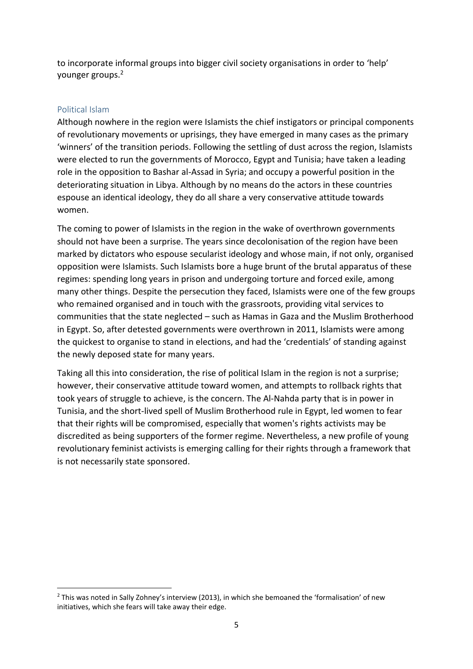to incorporate informal groups into bigger civil society organisations in order to 'help' younger groups.<sup>2</sup>

#### Political Islam

**.** 

Although nowhere in the region were Islamists the chief instigators or principal components of revolutionary movements or uprisings, they have emerged in many cases as the primary 'winners' of the transition periods. Following the settling of dust across the region, Islamists were elected to run the governments of Morocco, Egypt and Tunisia; have taken a leading role in the opposition to Bashar al-Assad in Syria; and occupy a powerful position in the deteriorating situation in Libya. Although by no means do the actors in these countries espouse an identical ideology, they do all share a very conservative attitude towards women.

The coming to power of Islamists in the region in the wake of overthrown governments should not have been a surprise. The years since decolonisation of the region have been marked by dictators who espouse secularist ideology and whose main, if not only, organised opposition were Islamists. Such Islamists bore a huge brunt of the brutal apparatus of these regimes: spending long years in prison and undergoing torture and forced exile, among many other things. Despite the persecution they faced, Islamists were one of the few groups who remained organised and in touch with the grassroots, providing vital services to communities that the state neglected – such as Hamas in Gaza and the Muslim Brotherhood in Egypt. So, after detested governments were overthrown in 2011, Islamists were among the quickest to organise to stand in elections, and had the 'credentials' of standing against the newly deposed state for many years.

Taking all this into consideration, the rise of political Islam in the region is not a surprise; however, their conservative attitude toward women, and attempts to rollback rights that took years of struggle to achieve, is the concern. The Al-Nahda party that is in power in Tunisia, and the short-lived spell of Muslim Brotherhood rule in Egypt, led women to fear that their rights will be compromised, especially that women's rights activists may be discredited as being supporters of the former regime. Nevertheless, a new profile of young revolutionary feminist activists is emerging calling for their rights through a framework that is not necessarily state sponsored.

<sup>&</sup>lt;sup>2</sup> This was noted in Sally Zohney's interview (2013), in which she bemoaned the 'formalisation' of new initiatives, which she fears will take away their edge.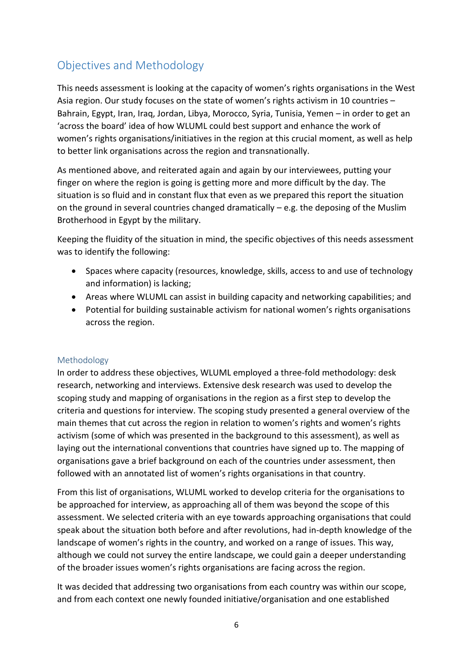# Objectives and Methodology

This needs assessment is looking at the capacity of women's rights organisations in the West Asia region. Our study focuses on the state of women's rights activism in 10 countries – Bahrain, Egypt, Iran, Iraq, Jordan, Libya, Morocco, Syria, Tunisia, Yemen – in order to get an 'across the board' idea of how WLUML could best support and enhance the work of women's rights organisations/initiatives in the region at this crucial moment, as well as help to better link organisations across the region and transnationally.

As mentioned above, and reiterated again and again by our interviewees, putting your finger on where the region is going is getting more and more difficult by the day. The situation is so fluid and in constant flux that even as we prepared this report the situation on the ground in several countries changed dramatically – e.g. the deposing of the Muslim Brotherhood in Egypt by the military.

Keeping the fluidity of the situation in mind, the specific objectives of this needs assessment was to identify the following:

- Spaces where capacity (resources, knowledge, skills, access to and use of technology and information) is lacking;
- Areas where WLUML can assist in building capacity and networking capabilities; and
- Potential for building sustainable activism for national women's rights organisations across the region.

## Methodology

In order to address these objectives, WLUML employed a three-fold methodology: desk research, networking and interviews. Extensive desk research was used to develop the scoping study and mapping of organisations in the region as a first step to develop the criteria and questions for interview. The scoping study presented a general overview of the main themes that cut across the region in relation to women's rights and women's rights activism (some of which was presented in the background to this assessment), as well as laying out the international conventions that countries have signed up to. The mapping of organisations gave a brief background on each of the countries under assessment, then followed with an annotated list of women's rights organisations in that country.

From this list of organisations, WLUML worked to develop criteria for the organisations to be approached for interview, as approaching all of them was beyond the scope of this assessment. We selected criteria with an eye towards approaching organisations that could speak about the situation both before and after revolutions, had in-depth knowledge of the landscape of women's rights in the country, and worked on a range of issues. This way, although we could not survey the entire landscape, we could gain a deeper understanding of the broader issues women's rights organisations are facing across the region.

It was decided that addressing two organisations from each country was within our scope, and from each context one newly founded initiative/organisation and one established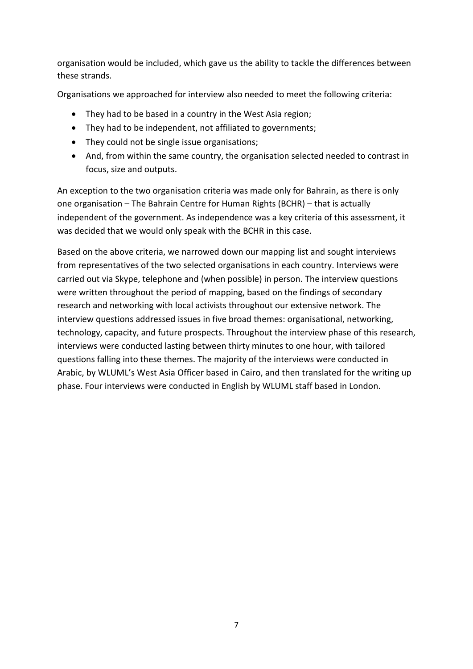organisation would be included, which gave us the ability to tackle the differences between these strands.

Organisations we approached for interview also needed to meet the following criteria:

- They had to be based in a country in the West Asia region;
- They had to be independent, not affiliated to governments;
- They could not be single issue organisations;
- And, from within the same country, the organisation selected needed to contrast in focus, size and outputs.

An exception to the two organisation criteria was made only for Bahrain, as there is only one organisation – The Bahrain Centre for Human Rights (BCHR) – that is actually independent of the government. As independence was a key criteria of this assessment, it was decided that we would only speak with the BCHR in this case.

Based on the above criteria, we narrowed down our mapping list and sought interviews from representatives of the two selected organisations in each country. Interviews were carried out via Skype, telephone and (when possible) in person. The interview questions were written throughout the period of mapping, based on the findings of secondary research and networking with local activists throughout our extensive network. The interview questions addressed issues in five broad themes: organisational, networking, technology, capacity, and future prospects. Throughout the interview phase of this research, interviews were conducted lasting between thirty minutes to one hour, with tailored questions falling into these themes. The majority of the interviews were conducted in Arabic, by WLUML's West Asia Officer based in Cairo, and then translated for the writing up phase. Four interviews were conducted in English by WLUML staff based in London.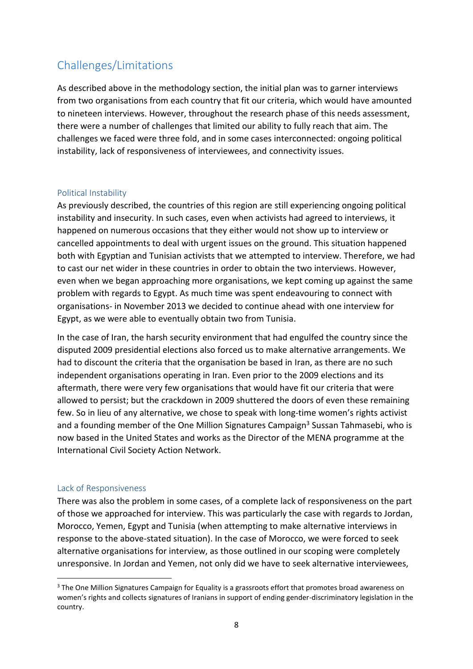# Challenges/Limitations

As described above in the methodology section, the initial plan was to garner interviews from two organisations from each country that fit our criteria, which would have amounted to nineteen interviews. However, throughout the research phase of this needs assessment, there were a number of challenges that limited our ability to fully reach that aim. The challenges we faced were three fold, and in some cases interconnected: ongoing political instability, lack of responsiveness of interviewees, and connectivity issues.

#### Political Instability

As previously described, the countries of this region are still experiencing ongoing political instability and insecurity. In such cases, even when activists had agreed to interviews, it happened on numerous occasions that they either would not show up to interview or cancelled appointments to deal with urgent issues on the ground. This situation happened both with Egyptian and Tunisian activists that we attempted to interview. Therefore, we had to cast our net wider in these countries in order to obtain the two interviews. However, even when we began approaching more organisations, we kept coming up against the same problem with regards to Egypt. As much time was spent endeavouring to connect with organisations- in November 2013 we decided to continue ahead with one interview for Egypt, as we were able to eventually obtain two from Tunisia.

In the case of Iran, the harsh security environment that had engulfed the country since the disputed 2009 presidential elections also forced us to make alternative arrangements. We had to discount the criteria that the organisation be based in Iran, as there are no such independent organisations operating in Iran. Even prior to the 2009 elections and its aftermath, there were very few organisations that would have fit our criteria that were allowed to persist; but the crackdown in 2009 shuttered the doors of even these remaining few. So in lieu of any alternative, we chose to speak with long-time women's rights activist and a founding member of the One Million Signatures Campaign<sup>3</sup> Sussan Tahmasebi, who is now based in the United States and works as the Director of the MENA programme at the International Civil Society Action Network.

#### Lack of Responsiveness

**.** 

There was also the problem in some cases, of a complete lack of responsiveness on the part of those we approached for interview. This was particularly the case with regards to Jordan, Morocco, Yemen, Egypt and Tunisia (when attempting to make alternative interviews in response to the above-stated situation). In the case of Morocco, we were forced to seek alternative organisations for interview, as those outlined in our scoping were completely unresponsive. In Jordan and Yemen, not only did we have to seek alternative interviewees,

<sup>&</sup>lt;sup>3</sup> The One Million Signatures Campaign for Equality is a grassroots effort that promotes broad awareness on women's rights and collects signatures of Iranians in support of ending gender-discriminatory legislation in the country.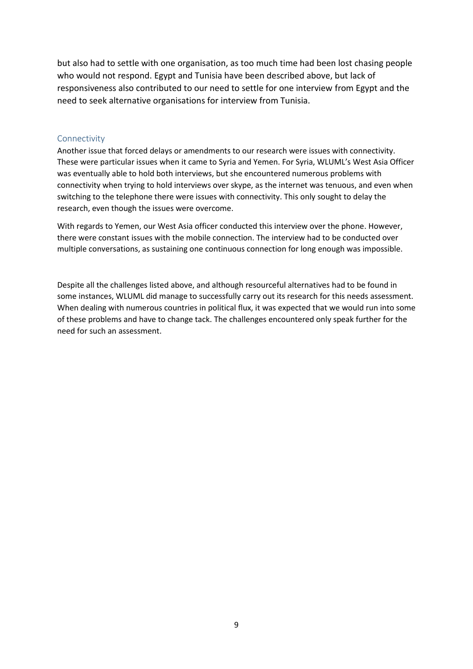but also had to settle with one organisation, as too much time had been lost chasing people who would not respond. Egypt and Tunisia have been described above, but lack of responsiveness also contributed to our need to settle for one interview from Egypt and the need to seek alternative organisations for interview from Tunisia.

#### Connectivity

Another issue that forced delays or amendments to our research were issues with connectivity. These were particular issues when it came to Syria and Yemen. For Syria, WLUML's West Asia Officer was eventually able to hold both interviews, but she encountered numerous problems with connectivity when trying to hold interviews over skype, as the internet was tenuous, and even when switching to the telephone there were issues with connectivity. This only sought to delay the research, even though the issues were overcome.

With regards to Yemen, our West Asia officer conducted this interview over the phone. However, there were constant issues with the mobile connection. The interview had to be conducted over multiple conversations, as sustaining one continuous connection for long enough was impossible.

Despite all the challenges listed above, and although resourceful alternatives had to be found in some instances, WLUML did manage to successfully carry out its research for this needs assessment. When dealing with numerous countries in political flux, it was expected that we would run into some of these problems and have to change tack. The challenges encountered only speak further for the need for such an assessment.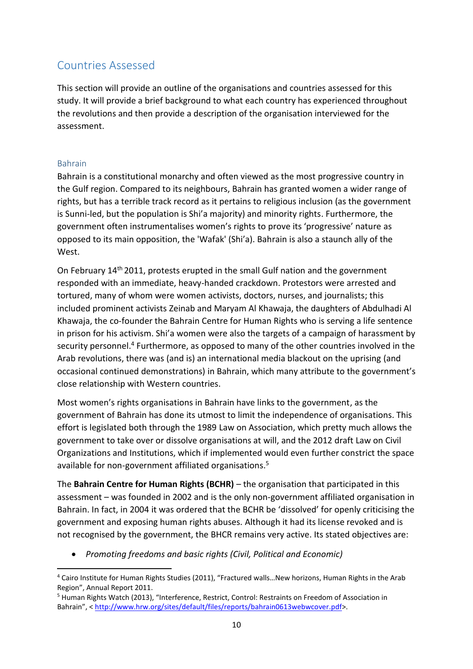# Countries Assessed

This section will provide an outline of the organisations and countries assessed for this study. It will provide a brief background to what each country has experienced throughout the revolutions and then provide a description of the organisation interviewed for the assessment.

## Bahrain

Bahrain is a constitutional monarchy and often viewed as the most progressive country in the Gulf region. Compared to its neighbours, Bahrain has granted women a wider range of rights, but has a terrible track record as it pertains to religious inclusion (as the government is Sunni-led, but the population is Shi'a majority) and minority rights. Furthermore, the government often instrumentalises women's rights to prove its 'progressive' nature as opposed to its main opposition, the 'Wafak' (Shi'a). Bahrain is also a staunch ally of the West.

On February 14<sup>th</sup> 2011, protests erupted in the small Gulf nation and the government responded with an immediate, heavy-handed crackdown. Protestors were arrested and tortured, many of whom were women activists, doctors, nurses, and journalists; this included prominent activists Zeinab and Maryam Al Khawaja, the daughters of Abdulhadi Al Khawaja, the co-founder the Bahrain Centre for Human Rights who is serving a life sentence in prison for his activism. Shi'a women were also the targets of a campaign of harassment by security personnel.<sup>4</sup> Furthermore, as opposed to many of the other countries involved in the Arab revolutions, there was (and is) an international media blackout on the uprising (and occasional continued demonstrations) in Bahrain, which many attribute to the government's close relationship with Western countries.

Most women's rights organisations in Bahrain have links to the government, as the government of Bahrain has done its utmost to limit the independence of organisations. This effort is legislated both through the 1989 Law on Association, which pretty much allows the government to take over or dissolve organisations at will, and the 2012 draft Law on Civil Organizations and Institutions, which if implemented would even further constrict the space available for non-government affiliated organisations. 5

The **Bahrain Centre for Human Rights (BCHR)** – the organisation that participated in this assessment – was founded in 2002 and is the only non-government affiliated organisation in Bahrain. In fact, in 2004 it was ordered that the BCHR be 'dissolved' for openly criticising the government and exposing human rights abuses. Although it had its license revoked and is not recognised by the government, the BHCR remains very active. Its stated objectives are:

*Promoting freedoms and basic rights (Civil, Political and Economic)*

**<sup>.</sup>** <sup>4</sup> Cairo Institute for Human Rights Studies (2011), "Fractured walls…New horizons, Human Rights in the Arab Region", Annual Report 2011.

<sup>5</sup> Human Rights Watch (2013), "Interference, Restrict, Control: Restraints on Freedom of Association in Bahrain", < [http://www.hrw.org/sites/default/files/reports/bahrain0613webwcover.pdf>](http://www.hrw.org/sites/default/files/reports/bahrain0613webwcover.pdf).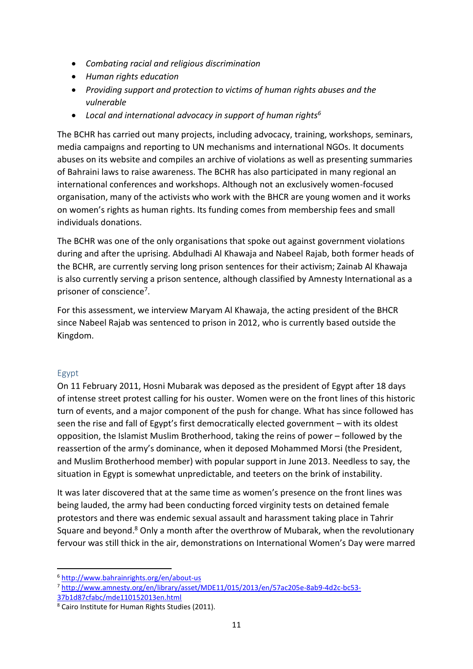- *Combating racial and religious discrimination*
- *Human rights education*
- *Providing support and protection to victims of human rights abuses and the vulnerable*
- *Local and international advocacy in support of human rights<sup>6</sup>*

The BCHR has carried out many projects, including advocacy, training, workshops, seminars, media campaigns and reporting to UN mechanisms and international NGOs. It documents abuses on its website and compiles an archive of violations as well as presenting summaries of Bahraini laws to raise awareness. The BCHR has also participated in many regional an international conferences and workshops. Although not an exclusively women-focused organisation, many of the activists who work with the BHCR are young women and it works on women's rights as human rights. Its funding comes from membership fees and small individuals donations.

The BCHR was one of the only organisations that spoke out against government violations during and after the uprising. Abdulhadi Al Khawaja and Nabeel Rajab, both former heads of the BCHR, are currently serving long prison sentences for their activism; Zainab Al Khawaja is also currently serving a prison sentence, although classified by Amnesty International as a prisoner of conscience<sup>7</sup>.

For this assessment, we interview Maryam Al Khawaja, the acting president of the BHCR since Nabeel Rajab was sentenced to prison in 2012, who is currently based outside the Kingdom.

## Egypt

**.** 

On 11 February 2011, Hosni Mubarak was deposed as the president of Egypt after 18 days of intense street protest calling for his ouster. Women were on the front lines of this historic turn of events, and a major component of the push for change. What has since followed has seen the rise and fall of Egypt's first democratically elected government – with its oldest opposition, the Islamist Muslim Brotherhood, taking the reins of power – followed by the reassertion of the army's dominance, when it deposed Mohammed Morsi (the President, and Muslim Brotherhood member) with popular support in June 2013. Needless to say, the situation in Egypt is somewhat unpredictable, and teeters on the brink of instability.

It was later discovered that at the same time as women's presence on the front lines was being lauded, the army had been conducting forced virginity tests on detained female protestors and there was endemic sexual assault and harassment taking place in Tahrir Square and beyond.<sup>8</sup> Only a month after the overthrow of Mubarak, when the revolutionary fervour was still thick in the air, demonstrations on International Women's Day were marred

<sup>6</sup> <http://www.bahrainrights.org/en/about-us>

<sup>7</sup> [http://www.amnesty.org/en/library/asset/MDE11/015/2013/en/57ac205e-8ab9-4d2c-bc53-](http://www.amnesty.org/en/library/asset/MDE11/015/2013/en/57ac205e-8ab9-4d2c-bc53-37b1d87cfabc/mde110152013en.html)

[<sup>37</sup>b1d87cfabc/mde110152013en.html](http://www.amnesty.org/en/library/asset/MDE11/015/2013/en/57ac205e-8ab9-4d2c-bc53-37b1d87cfabc/mde110152013en.html)

<sup>8</sup> Cairo Institute for Human Rights Studies (2011).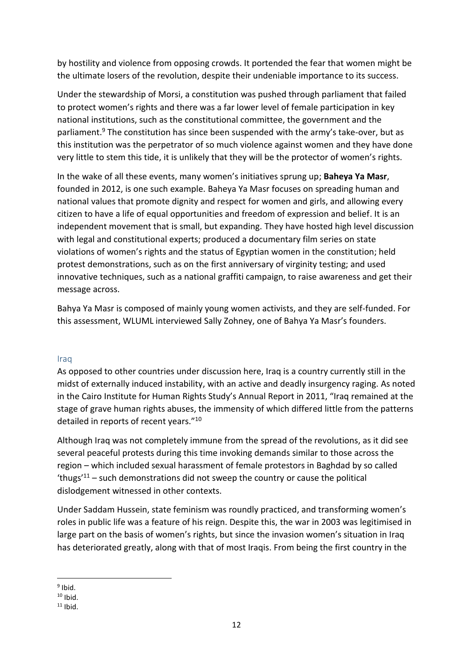by hostility and violence from opposing crowds. It portended the fear that women might be the ultimate losers of the revolution, despite their undeniable importance to its success.

Under the stewardship of Morsi, a constitution was pushed through parliament that failed to protect women's rights and there was a far lower level of female participation in key national institutions, such as the constitutional committee, the government and the parliament. <sup>9</sup> The constitution has since been suspended with the army's take-over, but as this institution was the perpetrator of so much violence against women and they have done very little to stem this tide, it is unlikely that they will be the protector of women's rights.

In the wake of all these events, many women's initiatives sprung up; **Baheya Ya Masr**, founded in 2012, is one such example. Baheya Ya Masr focuses on spreading human and national values that promote dignity and respect for women and girls, and allowing every citizen to have a life of equal opportunities and freedom of expression and belief. It is an independent movement that is small, but expanding. They have hosted high level discussion with legal and constitutional experts; produced a documentary film series on state violations of women's rights and the status of Egyptian women in the constitution; held protest demonstrations, such as on the first anniversary of virginity testing; and used innovative techniques, such as a national graffiti campaign, to raise awareness and get their message across.

Bahya Ya Masr is composed of mainly young women activists, and they are self-funded. For this assessment, WLUML interviewed Sally Zohney, one of Bahya Ya Masr's founders.

#### Iraq

As opposed to other countries under discussion here, Iraq is a country currently still in the midst of externally induced instability, with an active and deadly insurgency raging. As noted in the Cairo Institute for Human Rights Study's Annual Report in 2011, "Iraq remained at the stage of grave human rights abuses, the immensity of which differed little from the patterns detailed in reports of recent years."<sup>10</sup>

Although Iraq was not completely immune from the spread of the revolutions, as it did see several peaceful protests during this time invoking demands similar to those across the region – which included sexual harassment of female protestors in Baghdad by so called 'thugs'<sup>11</sup> – such demonstrations did not sweep the country or cause the political dislodgement witnessed in other contexts.

Under Saddam Hussein, state feminism was roundly practiced, and transforming women's roles in public life was a feature of his reign. Despite this, the war in 2003 was legitimised in large part on the basis of women's rights, but since the invasion women's situation in Iraq has deteriorated greatly, along with that of most Iraqis. From being the first country in the

**<sup>.</sup>** <sup>9</sup> Ibid.

 $10$  Ibid.

 $11$  Ibid.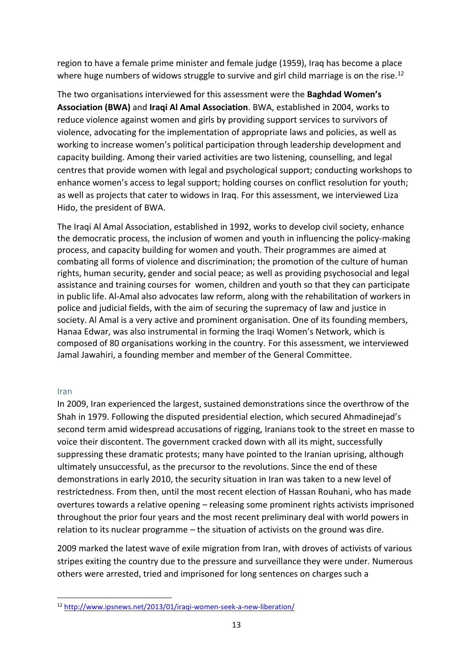region to have a female prime minister and female judge (1959), Iraq has become a place where huge numbers of widows struggle to survive and girl child marriage is on the rise.<sup>12</sup>

The two organisations interviewed for this assessment were the **Baghdad Women's Association (BWA)** and **Iraqi Al Amal Association**. BWA, established in 2004, works to reduce violence against women and girls by providing support services to survivors of violence, advocating for the implementation of appropriate laws and policies, as well as working to increase women's political participation through leadership development and capacity building. Among their varied activities are two listening, counselling, and legal centres that provide women with legal and psychological support; conducting workshops to enhance women's access to legal support; holding courses on conflict resolution for youth; as well as projects that cater to widows in Iraq. For this assessment, we interviewed Liza Hido, the president of BWA.

The Iraqi Al Amal Association, established in 1992, works to develop civil society, enhance the democratic process, the inclusion of women and youth in influencing the policy-making process, and capacity building for women and youth. Their programmes are aimed at combating all forms of violence and discrimination; the promotion of the culture of human rights, human security, gender and social peace; as well as providing psychosocial and legal assistance and training courses for women, children and youth so that they can participate in public life. Al-Amal also advocates law reform, along with the rehabilitation of workers in police and judicial fields, with the aim of securing the supremacy of law and justice in society. Al Amal is a very active and prominent organisation. One of its founding members, Hanaa Edwar, was also instrumental in forming the Iraqi Women's Network, which is composed of 80 organisations working in the country. For this assessment, we interviewed Jamal Jawahiri, a founding member and member of the General Committee.

#### Iran

**.** 

In 2009, Iran experienced the largest, sustained demonstrations since the overthrow of the Shah in 1979. Following the disputed presidential election, which secured Ahmadinejad's second term amid widespread accusations of rigging, Iranians took to the street en masse to voice their discontent. The government cracked down with all its might, successfully suppressing these dramatic protests; many have pointed to the Iranian uprising, although ultimately unsuccessful, as the precursor to the revolutions. Since the end of these demonstrations in early 2010, the security situation in Iran was taken to a new level of restrictedness. From then, until the most recent election of Hassan Rouhani, who has made overtures towards a relative opening – releasing some prominent rights activists imprisoned throughout the prior four years and the most recent preliminary deal with world powers in relation to its nuclear programme – the situation of activists on the ground was dire.

2009 marked the latest wave of exile migration from Iran, with droves of activists of various stripes exiting the country due to the pressure and surveillance they were under. Numerous others were arrested, tried and imprisoned for long sentences on charges such a

<sup>12</sup> <http://www.ipsnews.net/2013/01/iraqi-women-seek-a-new-liberation/>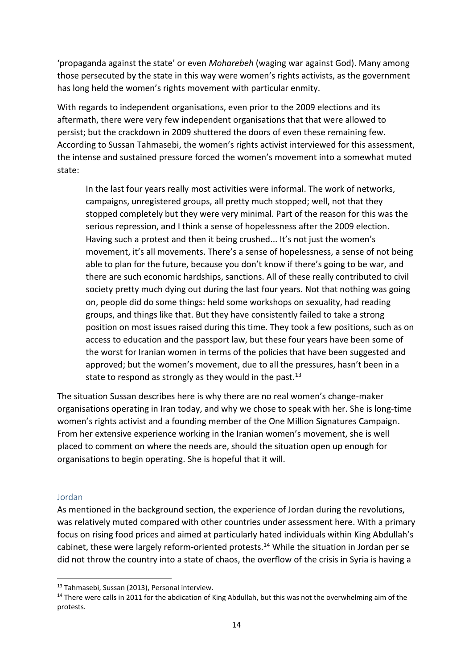'propaganda against the state' or even *Moharebeh* (waging war against God). Many among those persecuted by the state in this way were women's rights activists, as the government has long held the women's rights movement with particular enmity.

With regards to independent organisations, even prior to the 2009 elections and its aftermath, there were very few independent organisations that that were allowed to persist; but the crackdown in 2009 shuttered the doors of even these remaining few. According to Sussan Tahmasebi, the women's rights activist interviewed for this assessment, the intense and sustained pressure forced the women's movement into a somewhat muted state:

In the last four years really most activities were informal. The work of networks, campaigns, unregistered groups, all pretty much stopped; well, not that they stopped completely but they were very minimal. Part of the reason for this was the serious repression, and I think a sense of hopelessness after the 2009 election. Having such a protest and then it being crushed... It's not just the women's movement, it's all movements. There's a sense of hopelessness, a sense of not being able to plan for the future, because you don't know if there's going to be war, and there are such economic hardships, sanctions. All of these really contributed to civil society pretty much dying out during the last four years. Not that nothing was going on, people did do some things: held some workshops on sexuality, had reading groups, and things like that. But they have consistently failed to take a strong position on most issues raised during this time. They took a few positions, such as on access to education and the passport law, but these four years have been some of the worst for Iranian women in terms of the policies that have been suggested and approved; but the women's movement, due to all the pressures, hasn't been in a state to respond as strongly as they would in the past.<sup>13</sup>

The situation Sussan describes here is why there are no real women's change-maker organisations operating in Iran today, and why we chose to speak with her. She is long-time women's rights activist and a founding member of the One Million Signatures Campaign. From her extensive experience working in the Iranian women's movement, she is well placed to comment on where the needs are, should the situation open up enough for organisations to begin operating. She is hopeful that it will.

#### Jordan

**.** 

As mentioned in the background section, the experience of Jordan during the revolutions, was relatively muted compared with other countries under assessment here. With a primary focus on rising food prices and aimed at particularly hated individuals within King Abdullah's cabinet, these were largely reform-oriented protests.<sup>14</sup> While the situation in Jordan per se did not throw the country into a state of chaos, the overflow of the crisis in Syria is having a

<sup>13</sup> Tahmasebi, Sussan (2013), Personal interview.

<sup>&</sup>lt;sup>14</sup> There were calls in 2011 for the abdication of King Abdullah, but this was not the overwhelming aim of the protests.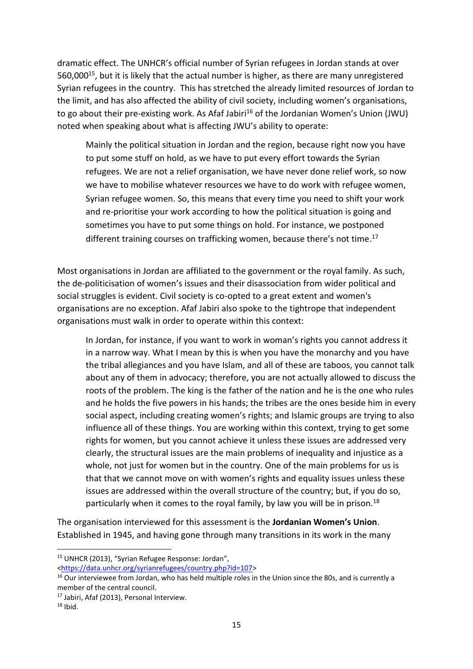dramatic effect. The UNHCR's official number of Syrian refugees in Jordan stands at over 560,000<sup>15</sup>, but it is likely that the actual number is higher, as there are many unregistered Syrian refugees in the country. This has stretched the already limited resources of Jordan to the limit, and has also affected the ability of civil society, including women's organisations, to go about their pre-existing work. As Afaf Jabiri<sup>16</sup> of the Jordanian Women's Union (JWU) noted when speaking about what is affecting JWU's ability to operate:

Mainly the political situation in Jordan and the region, because right now you have to put some stuff on hold, as we have to put every effort towards the Syrian refugees. We are not a relief organisation, we have never done relief work, so now we have to mobilise whatever resources we have to do work with refugee women, Syrian refugee women. So, this means that every time you need to shift your work and re-prioritise your work according to how the political situation is going and sometimes you have to put some things on hold. For instance, we postponed different training courses on trafficking women, because there's not time.<sup>17</sup>

Most organisations in Jordan are affiliated to the government or the royal family. As such, the de-politicisation of women's issues and their disassociation from wider political and social struggles is evident. Civil society is co-opted to a great extent and women's organisations are no exception. Afaf Jabiri also spoke to the tightrope that independent organisations must walk in order to operate within this context:

In Jordan, for instance, if you want to work in woman's rights you cannot address it in a narrow way. What I mean by this is when you have the monarchy and you have the tribal allegiances and you have Islam, and all of these are taboos, you cannot talk about any of them in advocacy; therefore, you are not actually allowed to discuss the roots of the problem. The king is the father of the nation and he is the one who rules and he holds the five powers in his hands; the tribes are the ones beside him in every social aspect, including creating women's rights; and Islamic groups are trying to also influence all of these things. You are working within this context, trying to get some rights for women, but you cannot achieve it unless these issues are addressed very clearly, the structural issues are the main problems of inequality and injustice as a whole, not just for women but in the country. One of the main problems for us is that that we cannot move on with women's rights and equality issues unless these issues are addressed within the overall structure of the country; but, if you do so, particularly when it comes to the royal family, by law you will be in prison.<sup>18</sup>

The organisation interviewed for this assessment is the **Jordanian Women's Union**. Established in 1945, and having gone through many transitions in its work in the many

**<sup>.</sup>** <sup>15</sup> UNHCR (2013), "Syrian Refugee Response: Jordan",

[<sup>&</sup>lt;https://data.unhcr.org/syrianrefugees/country.php?id=107>](https://data.unhcr.org/syrianrefugees/country.php?id=107)

<sup>&</sup>lt;sup>16</sup> Our interviewee from Jordan, who has held multiple roles in the Union since the 80s, and is currently a member of the central council.

<sup>&</sup>lt;sup>17</sup> Jabiri, Afaf (2013), Personal Interview.

 $18$  Ibid.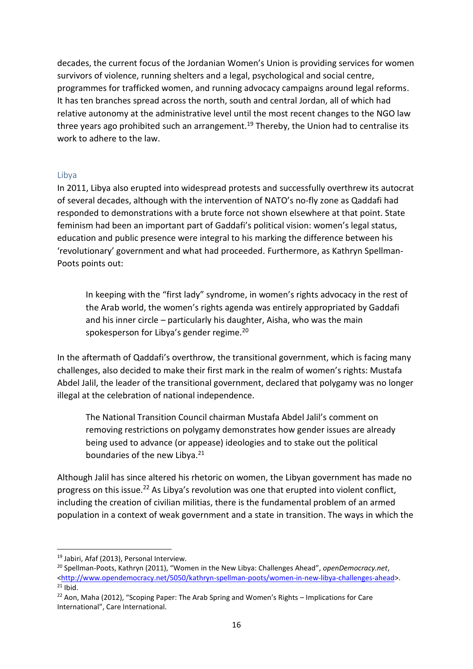decades, the current focus of the Jordanian Women's Union is providing services for women survivors of violence, running shelters and a legal, psychological and social centre, programmes for trafficked women, and running advocacy campaigns around legal reforms. It has ten branches spread across the north, south and central Jordan, all of which had relative autonomy at the administrative level until the most recent changes to the NGO law three years ago prohibited such an arrangement.<sup>19</sup> Thereby, the Union had to centralise its work to adhere to the law.

#### Libya

In 2011, Libya also erupted into widespread protests and successfully overthrew its autocrat of several decades, although with the intervention of NATO's no-fly zone as Qaddafi had responded to demonstrations with a brute force not shown elsewhere at that point. State feminism had been an important part of Gaddafi's political vision: women's legal status, education and public presence were integral to his marking the difference between his 'revolutionary' government and what had proceeded. Furthermore, as Kathryn Spellman-Poots points out:

In keeping with the "first lady" syndrome, in women's rights advocacy in the rest of the Arab world, the women's rights agenda was entirely appropriated by Gaddafi and his inner circle – particularly his daughter, Aisha, who was the main spokesperson for Libya's gender regime.<sup>20</sup>

In the aftermath of Qaddafi's overthrow, the transitional government, which is facing many challenges, also decided to make their first mark in the realm of women's rights: Mustafa Abdel Jalil, the leader of the transitional government, declared that polygamy was no longer illegal at the celebration of national independence.

The National Transition Council chairman Mustafa Abdel Jalil's comment on removing restrictions on polygamy demonstrates how gender issues are already being used to advance (or appease) ideologies and to stake out the political boundaries of the new Libya.<sup>21</sup>

Although Jalil has since altered his rhetoric on women, the Libyan government has made no progress on this issue.<sup>22</sup> As Libya's revolution was one that erupted into violent conflict, including the creation of civilian militias, there is the fundamental problem of an armed population in a context of weak government and a state in transition. The ways in which the

<sup>19</sup> Jabiri, Afaf (2013), Personal Interview.

<sup>20</sup> Spellman-Poots, Kathryn (2011), "Women in the New Libya: Challenges Ahead", *openDemocracy.net*, [<http://www.opendemocracy.net/5050/kathryn-spellman-poots/women-in-new-libya-challenges-ahead>](http://www.opendemocracy.net/5050/kathryn-spellman-poots/women-in-new-libya-challenges-ahead).  $21$  Ibid.

 $22$  Aon, Maha (2012), "Scoping Paper: The Arab Spring and Women's Rights – Implications for Care International", Care International.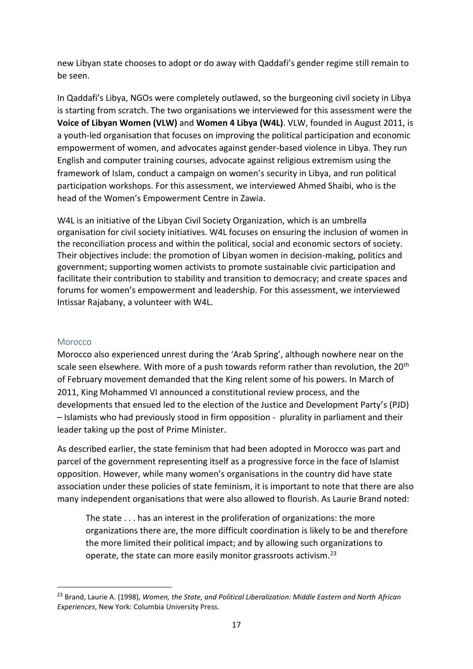new Libyan state chooses to adopt or do away with Qaddafi's gender regime still remain to be seen.

In Qaddafi's Libya, NGOs were completely outlawed, so the burgeoning civil society in Libya is starting from scratch. The two organisations we interviewed for this assessment were the **Voice of Libyan Women (VLW)** and **Women 4 Libya (W4L)**. VLW, founded in August 2011, is a youth-led organisation that focuses on improving the political participation and economic empowerment of women, and advocates against gender-based violence in Libya. They run English and computer training courses, advocate against religious extremism using the framework of Islam, conduct a campaign on women's security in Libya, and run political participation workshops. For this assessment, we interviewed Ahmed Shaibi, who is the head of the Women's Empowerment Centre in Zawia.

W4L is an initiative of the Libyan Civil Society Organization, which is an umbrella organisation for civil society initiatives. W4L focuses on ensuring the inclusion of women in the reconciliation process and within the political, social and economic sectors of society. Their objectives include: the promotion of Libyan women in decision-making, politics and government; supporting women activists to promote sustainable civic participation and facilitate their contribution to stability and transition to democracy; and create spaces and forums for women's empowerment and leadership. For this assessment, we interviewed Intissar Rajabany, a volunteer with W4L.

#### Morocco

**.** 

Morocco also experienced unrest during the 'Arab Spring', although nowhere near on the scale seen elsewhere. With more of a push towards reform rather than revolution, the 20<sup>th</sup> of February movement demanded that the King relent some of his powers. In March of 2011, King Mohammed VI announced a constitutional review process, and the developments that ensued led to the election of the Justice and Development Party's (PJD) – Islamists who had previously stood in firm opposition - plurality in parliament and their leader taking up the post of Prime Minister.

As described earlier, the state feminism that had been adopted in Morocco was part and parcel of the government representing itself as a progressive force in the face of Islamist opposition. However, while many women's organisations in the country did have state association under these policies of state feminism, it is important to note that there are also many independent organisations that were also allowed to flourish. As Laurie Brand noted:

The state . . . has an interest in the proliferation of organizations: the more organizations there are, the more difficult coordination is likely to be and therefore the more limited their political impact; and by allowing such organizations to operate, the state can more easily monitor grassroots activism.<sup>23</sup>

<sup>23</sup> Brand, Laurie A. (1998), *Women, the State, and Political Liberalization: Middle Eastern and North African Experiences*, New York: Columbia University Press.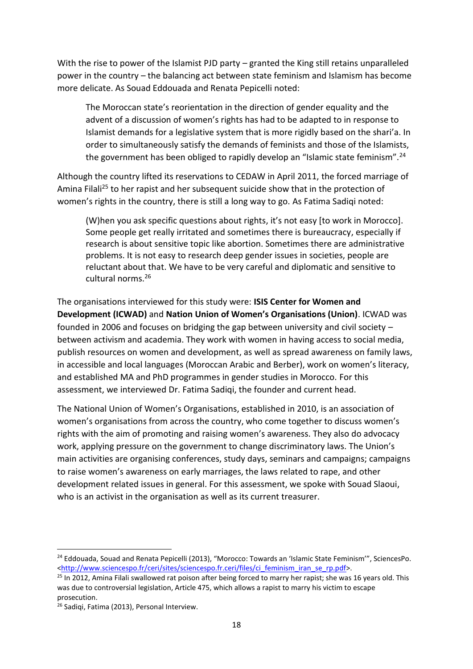With the rise to power of the Islamist PJD party – granted the King still retains unparalleled power in the country – the balancing act between state feminism and Islamism has become more delicate. As Souad Eddouada and Renata Pepicelli noted:

The Moroccan state's reorientation in the direction of gender equality and the advent of a discussion of women's rights has had to be adapted to in response to Islamist demands for a legislative system that is more rigidly based on the shari'a. In order to simultaneously satisfy the demands of feminists and those of the Islamists, the government has been obliged to rapidly develop an "Islamic state feminism".<sup>24</sup>

Although the country lifted its reservations to CEDAW in April 2011, the forced marriage of Amina Filali<sup>25</sup> to her rapist and her subsequent suicide show that in the protection of women's rights in the country, there is still a long way to go. As Fatima Sadiqi noted:

(W)hen you ask specific questions about rights, it's not easy [to work in Morocco]. Some people get really irritated and sometimes there is bureaucracy, especially if research is about sensitive topic like abortion. Sometimes there are administrative problems. It is not easy to research deep gender issues in societies, people are reluctant about that. We have to be very careful and diplomatic and sensitive to cultural norms.<sup>26</sup>

The organisations interviewed for this study were: **ISIS Center for Women and Development (ICWAD)** and **Nation Union of Women's Organisations (Union)**. ICWAD was founded in 2006 and focuses on bridging the gap between university and civil society – between activism and academia. They work with women in having access to social media, publish resources on women and development, as well as spread awareness on family laws, in accessible and local languages (Moroccan Arabic and Berber), work on women's literacy, and established MA and PhD programmes in gender studies in Morocco. For this assessment, we interviewed Dr. Fatima Sadiqi, the founder and current head.

The National Union of Women's Organisations, established in 2010, is an association of women's organisations from across the country, who come together to discuss women's rights with the aim of promoting and raising women's awareness. They also do advocacy work, applying pressure on the government to change discriminatory laws. The Union's main activities are organising conferences, study days, seminars and campaigns; campaigns to raise women's awareness on early marriages, the laws related to rape, and other development related issues in general. For this assessment, we spoke with Souad Slaoui, who is an activist in the organisation as well as its current treasurer.

<sup>&</sup>lt;sup>24</sup> Eddouada, Souad and Renata Pepicelli (2013), "Morocco: Towards an 'Islamic State Feminism'", SciencesPo. [<http://www.sciencespo.fr/ceri/sites/sciencespo.fr.ceri/files/ci\\_feminism\\_iran\\_se\\_rp.pdf>](http://www.sciencespo.fr/ceri/sites/sciencespo.fr.ceri/files/ci_feminism_iran_se_rp.pdf).

<sup>&</sup>lt;sup>25</sup> In 2012, Amina Filali swallowed rat poison after being forced to marry her rapist; she was 16 years old. This was due to controversial legislation, Article 475, which allows a rapist to marry his victim to escape prosecution.

<sup>26</sup> Sadiqi, Fatima (2013), Personal Interview.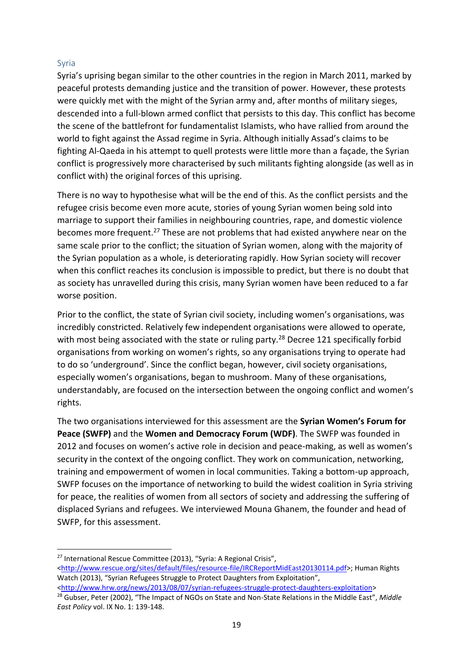## Syria

Syria's uprising began similar to the other countries in the region in March 2011, marked by peaceful protests demanding justice and the transition of power. However, these protests were quickly met with the might of the Syrian army and, after months of military sieges, descended into a full-blown armed conflict that persists to this day. This conflict has become the scene of the battlefront for fundamentalist Islamists, who have rallied from around the world to fight against the Assad regime in Syria. Although initially Assad's claims to be fighting Al-Qaeda in his attempt to quell protests were little more than a façade, the Syrian conflict is progressively more characterised by such militants fighting alongside (as well as in conflict with) the original forces of this uprising.

There is no way to hypothesise what will be the end of this. As the conflict persists and the refugee crisis become even more acute, stories of young Syrian women being sold into marriage to support their families in neighbouring countries, rape, and domestic violence becomes more frequent.<sup>27</sup> These are not problems that had existed anywhere near on the same scale prior to the conflict; the situation of Syrian women, along with the majority of the Syrian population as a whole, is deteriorating rapidly. How Syrian society will recover when this conflict reaches its conclusion is impossible to predict, but there is no doubt that as society has unravelled during this crisis, many Syrian women have been reduced to a far worse position.

Prior to the conflict, the state of Syrian civil society, including women's organisations, was incredibly constricted. Relatively few independent organisations were allowed to operate, with most being associated with the state or ruling party.<sup>28</sup> Decree 121 specifically forbid organisations from working on women's rights, so any organisations trying to operate had to do so 'underground'. Since the conflict began, however, civil society organisations, especially women's organisations, began to mushroom. Many of these organisations, understandably, are focused on the intersection between the ongoing conflict and women's rights.

The two organisations interviewed for this assessment are the **Syrian Women's Forum for Peace (SWFP)** and the **Women and Democracy Forum (WDF)**. The SWFP was founded in 2012 and focuses on women's active role in decision and peace-making, as well as women's security in the context of the ongoing conflict. They work on communication, networking, training and empowerment of women in local communities. Taking a bottom-up approach, SWFP focuses on the importance of networking to build the widest coalition in Syria striving for peace, the realities of women from all sectors of society and addressing the suffering of displaced Syrians and refugees. We interviewed Mouna Ghanem, the founder and head of SWFP, for this assessment.

**<sup>.</sup>** <sup>27</sup> International Rescue Committee (2013), "Syria: A Regional Crisis",

[<sup>&</sup>lt;http://www.rescue.org/sites/default/files/resource-file/IRCReportMidEast20130114.pdf>](http://www.rescue.org/sites/default/files/resource-file/IRCReportMidEast20130114.pdf); Human Rights Watch (2013), "Syrian Refugees Struggle to Protect Daughters from Exploitation",

[<sup>&</sup>lt;http://www.hrw.org/news/2013/08/07/syrian-refugees-struggle-protect-daughters-exploitation>](http://www.hrw.org/news/2013/08/07/syrian-refugees-struggle-protect-daughters-exploitation)

<sup>28</sup> Gubser, Peter (2002), "The Impact of NGOs on State and Non-State Relations in the Middle East", *Middle East Policy* vol. IX No. 1: 139-148.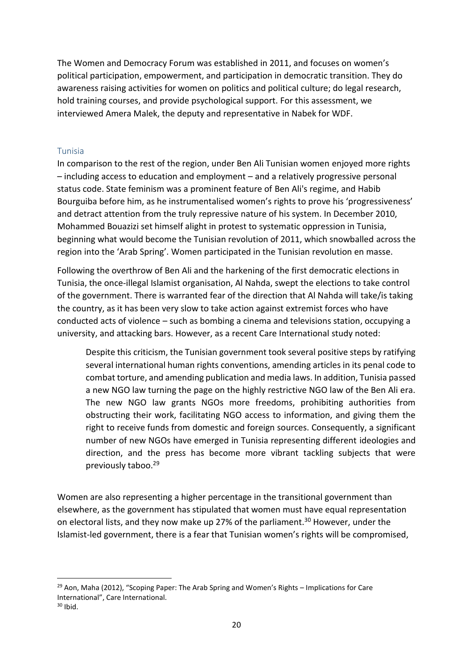The Women and Democracy Forum was established in 2011, and focuses on women's political participation, empowerment, and participation in democratic transition. They do awareness raising activities for women on politics and political culture; do legal research, hold training courses, and provide psychological support. For this assessment, we interviewed Amera Malek, the deputy and representative in Nabek for WDF.

### Tunisia

In comparison to the rest of the region, under Ben Ali Tunisian women enjoyed more rights – including access to education and employment – and a relatively progressive personal status code. State feminism was a prominent feature of Ben Ali's regime, and Habib Bourguiba before him, as he instrumentalised women's rights to prove his 'progressiveness' and detract attention from the truly repressive nature of his system. In December 2010, Mohammed Bouazizi set himself alight in protest to systematic oppression in Tunisia, beginning what would become the Tunisian revolution of 2011, which snowballed across the region into the 'Arab Spring'. Women participated in the Tunisian revolution en masse.

Following the overthrow of Ben Ali and the harkening of the first democratic elections in Tunisia, the once-illegal Islamist organisation, Al Nahda, swept the elections to take control of the government. There is warranted fear of the direction that Al Nahda will take/is taking the country, as it has been very slow to take action against extremist forces who have conducted acts of violence – such as bombing a cinema and televisions station, occupying a university, and attacking bars. However, as a recent Care International study noted:

Despite this criticism, the Tunisian government took several positive steps by ratifying several international human rights conventions, amending articles in its penal code to combat torture, and amending publication and media laws. In addition, Tunisia passed a new NGO law turning the page on the highly restrictive NGO law of the Ben Ali era. The new NGO law grants NGOs more freedoms, prohibiting authorities from obstructing their work, facilitating NGO access to information, and giving them the right to receive funds from domestic and foreign sources. Consequently, a significant number of new NGOs have emerged in Tunisia representing different ideologies and direction, and the press has become more vibrant tackling subjects that were previously taboo.<sup>29</sup>

Women are also representing a higher percentage in the transitional government than elsewhere, as the government has stipulated that women must have equal representation on electoral lists, and they now make up 27% of the parliament.<sup>30</sup> However, under the Islamist-led government, there is a fear that Tunisian women's rights will be compromised,

<sup>&</sup>lt;sup>29</sup> Aon, Maha (2012), "Scoping Paper: The Arab Spring and Women's Rights – Implications for Care International", Care International.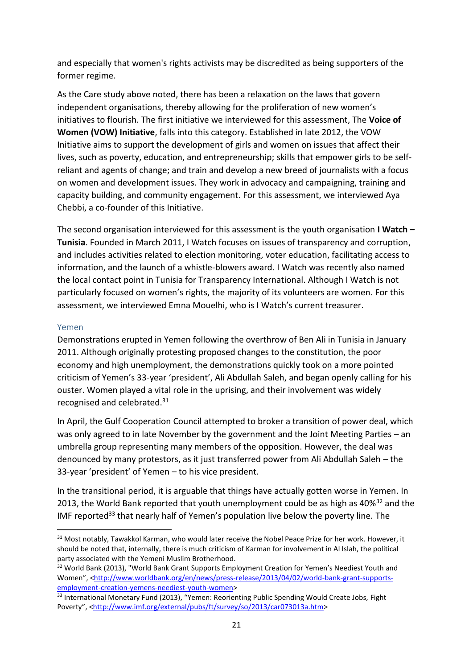and especially that women's rights activists may be discredited as being supporters of the former regime.

As the Care study above noted, there has been a relaxation on the laws that govern independent organisations, thereby allowing for the proliferation of new women's initiatives to flourish. The first initiative we interviewed for this assessment, The **Voice of Women (VOW) Initiative**, falls into this category. Established in late 2012, the VOW Initiative aims to support the development of girls and women on issues that affect their lives, such as poverty, education, and entrepreneurship; skills that empower girls to be selfreliant and agents of change; and train and develop a new breed of journalists with a focus on women and development issues. They work in advocacy and campaigning, training and capacity building, and community engagement. For this assessment, we interviewed Aya Chebbi, a co-founder of this Initiative.

The second organisation interviewed for this assessment is the youth organisation **I Watch – Tunisia**. Founded in March 2011, I Watch focuses on issues of transparency and corruption, and includes activities related to election monitoring, voter education, facilitating access to information, and the launch of a whistle-blowers award. I Watch was recently also named the local contact point in Tunisia for Transparency International. Although I Watch is not particularly focused on women's rights, the majority of its volunteers are women. For this assessment, we interviewed Emna Mouelhi, who is I Watch's current treasurer.

#### Yemen

**.** 

Demonstrations erupted in Yemen following the overthrow of Ben Ali in Tunisia in January 2011. Although originally protesting proposed changes to the constitution, the poor economy and high unemployment, the demonstrations quickly took on a more pointed criticism of Yemen's 33-year 'president', Ali Abdullah Saleh, and began openly calling for his ouster. Women played a vital role in the uprising, and their involvement was widely recognised and celebrated.<sup>31</sup>

In April, the Gulf Cooperation Council attempted to broker a transition of power deal, which was only agreed to in late November by the government and the Joint Meeting Parties – an umbrella group representing many members of the opposition. However, the deal was denounced by many protestors, as it just transferred power from Ali Abdullah Saleh – the 33-year 'president' of Yemen – to his vice president.

In the transitional period, it is arguable that things have actually gotten worse in Yemen. In 2013, the World Bank reported that youth unemployment could be as high as 40%<sup>32</sup> and the IMF reported<sup>33</sup> that nearly half of Yemen's population live below the poverty line. The

<sup>&</sup>lt;sup>31</sup> Most notably, Tawakkol Karman, who would later receive the Nobel Peace Prize for her work. However, it should be noted that, internally, there is much criticism of Karman for involvement in Al Islah, the political party associated with the Yemeni Muslim Brotherhood.

<sup>&</sup>lt;sup>32</sup> World Bank (2013), "World Bank Grant Supports Employment Creation for Yemen's Neediest Youth and Women", <[http://www.worldbank.org/en/news/press-release/2013/04/02/world-bank-grant-supports](http://www.worldbank.org/en/news/press-release/2013/04/02/world-bank-grant-supports-employment-creation-yemens-neediest-youth-women)[employment-creation-yemens-neediest-youth-women>](http://www.worldbank.org/en/news/press-release/2013/04/02/world-bank-grant-supports-employment-creation-yemens-neediest-youth-women)

<sup>33</sup> International Monetary Fund (2013), "Yemen: Reorienting Public Spending Would Create Jobs, Fight Poverty", <[http://www.imf.org/external/pubs/ft/survey/so/2013/car073013a.htm>](http://www.imf.org/external/pubs/ft/survey/so/2013/car073013a.htm)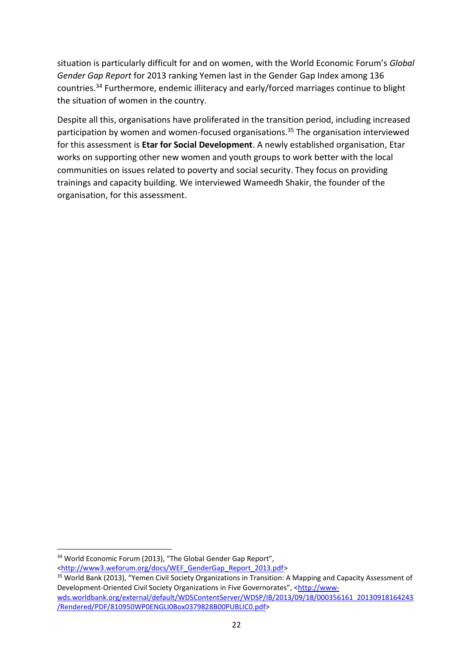situation is particularly difficult for and on women, with the World Economic Forum's *Global Gender Gap Report* for 2013 ranking Yemen last in the Gender Gap Index among 136 countries. <sup>34</sup> Furthermore, endemic illiteracy and early/forced marriages continue to blight the situation of women in the country.

Despite all this, organisations have proliferated in the transition period, including increased participation by women and women-focused organisations.<sup>35</sup> The organisation interviewed for this assessment is **Etar for Social Development**. A newly established organisation, Etar works on supporting other new women and youth groups to work better with the local communities on issues related to poverty and social security. They focus on providing trainings and capacity building. We interviewed Wameedh Shakir, the founder of the organisation, for this assessment.

<sup>&</sup>lt;sup>34</sup> World Economic Forum (2013), "The Global Gender Gap Report",

[<sup>&</sup>lt;http://www3.weforum.org/docs/WEF\\_GenderGap\\_Report\\_2013.pdf>](http://www3.weforum.org/docs/WEF_GenderGap_Report_2013.pdf)

<sup>&</sup>lt;sup>35</sup> World Bank (2013), "Yemen Civil Society Organizations in Transition: A Mapping and Capacity Assessment of Development-Oriented Civil Society Organizations in Five Governorates", <[http://www](http://www-wds.worldbank.org/external/default/WDSContentServer/WDSP/IB/2013/09/18/000356161_20130918164243/Rendered/PDF/810950WP0ENGLI0Box0379828B00PUBLIC0.pdf)[wds.worldbank.org/external/default/WDSContentServer/WDSP/IB/2013/09/18/000356161\\_20130918164243](http://www-wds.worldbank.org/external/default/WDSContentServer/WDSP/IB/2013/09/18/000356161_20130918164243/Rendered/PDF/810950WP0ENGLI0Box0379828B00PUBLIC0.pdf) [/Rendered/PDF/810950WP0ENGLI0Box0379828B00PUBLIC0.pdf>](http://www-wds.worldbank.org/external/default/WDSContentServer/WDSP/IB/2013/09/18/000356161_20130918164243/Rendered/PDF/810950WP0ENGLI0Box0379828B00PUBLIC0.pdf)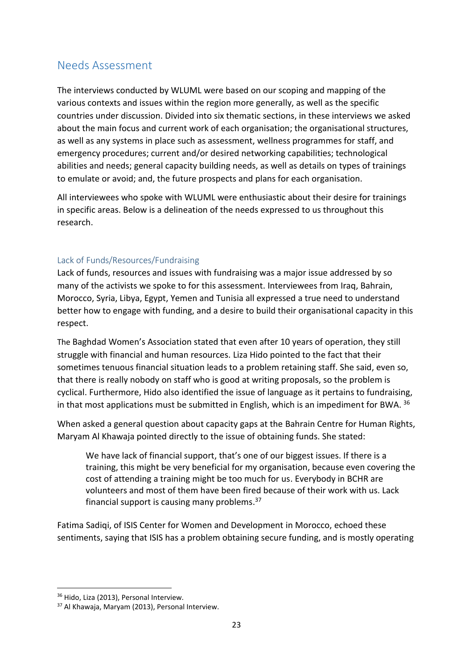# Needs Assessment

The interviews conducted by WLUML were based on our scoping and mapping of the various contexts and issues within the region more generally, as well as the specific countries under discussion. Divided into six thematic sections, in these interviews we asked about the main focus and current work of each organisation; the organisational structures, as well as any systems in place such as assessment, wellness programmes for staff, and emergency procedures; current and/or desired networking capabilities; technological abilities and needs; general capacity building needs, as well as details on types of trainings to emulate or avoid; and, the future prospects and plans for each organisation.

All interviewees who spoke with WLUML were enthusiastic about their desire for trainings in specific areas. Below is a delineation of the needs expressed to us throughout this research.

## Lack of Funds/Resources/Fundraising

Lack of funds, resources and issues with fundraising was a major issue addressed by so many of the activists we spoke to for this assessment. Interviewees from Iraq, Bahrain, Morocco, Syria, Libya, Egypt, Yemen and Tunisia all expressed a true need to understand better how to engage with funding, and a desire to build their organisational capacity in this respect.

The Baghdad Women's Association stated that even after 10 years of operation, they still struggle with financial and human resources. Liza Hido pointed to the fact that their sometimes tenuous financial situation leads to a problem retaining staff. She said, even so, that there is really nobody on staff who is good at writing proposals, so the problem is cyclical. Furthermore, Hido also identified the issue of language as it pertains to fundraising, in that most applications must be submitted in English, which is an impediment for BWA.  $36$ 

When asked a general question about capacity gaps at the Bahrain Centre for Human Rights, Maryam Al Khawaja pointed directly to the issue of obtaining funds. She stated:

We have lack of financial support, that's one of our biggest issues. If there is a training, this might be very beneficial for my organisation, because even covering the cost of attending a training might be too much for us. Everybody in BCHR are volunteers and most of them have been fired because of their work with us. Lack financial support is causing many problems.<sup>37</sup>

Fatima Sadiqi, of ISIS Center for Women and Development in Morocco, echoed these sentiments, saying that ISIS has a problem obtaining secure funding, and is mostly operating

<sup>&</sup>lt;sup>36</sup> Hido, Liza (2013), Personal Interview.

<sup>37</sup> Al Khawaja, Maryam (2013), Personal Interview.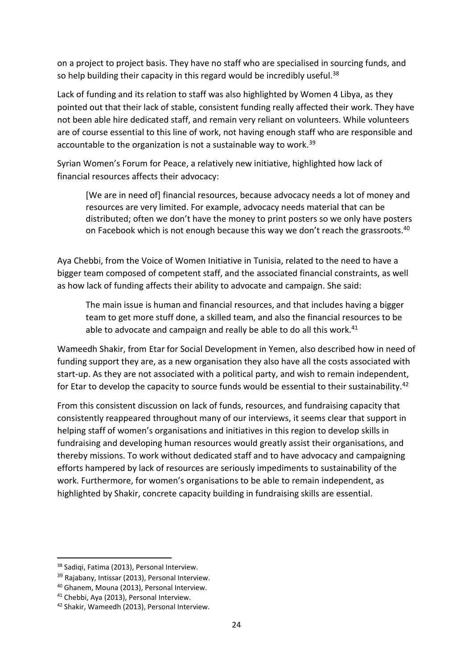on a project to project basis. They have no staff who are specialised in sourcing funds, and so help building their capacity in this regard would be incredibly useful.<sup>38</sup>

Lack of funding and its relation to staff was also highlighted by Women 4 Libya, as they pointed out that their lack of stable, consistent funding really affected their work. They have not been able hire dedicated staff, and remain very reliant on volunteers. While volunteers are of course essential to this line of work, not having enough staff who are responsible and accountable to the organization is not a sustainable way to work.<sup>39</sup>

Syrian Women's Forum for Peace, a relatively new initiative, highlighted how lack of financial resources affects their advocacy:

[We are in need of] financial resources, because advocacy needs a lot of money and resources are very limited. For example, advocacy needs material that can be distributed; often we don't have the money to print posters so we only have posters on Facebook which is not enough because this way we don't reach the grassroots.<sup>40</sup>

Aya Chebbi, from the Voice of Women Initiative in Tunisia, related to the need to have a bigger team composed of competent staff, and the associated financial constraints, as well as how lack of funding affects their ability to advocate and campaign. She said:

The main issue is human and financial resources, and that includes having a bigger team to get more stuff done, a skilled team, and also the financial resources to be able to advocate and campaign and really be able to do all this work.<sup>41</sup>

Wameedh Shakir, from Etar for Social Development in Yemen, also described how in need of funding support they are, as a new organisation they also have all the costs associated with start-up. As they are not associated with a political party, and wish to remain independent, for Etar to develop the capacity to source funds would be essential to their sustainability.<sup>42</sup>

From this consistent discussion on lack of funds, resources, and fundraising capacity that consistently reappeared throughout many of our interviews, it seems clear that support in helping staff of women's organisations and initiatives in this region to develop skills in fundraising and developing human resources would greatly assist their organisations, and thereby missions. To work without dedicated staff and to have advocacy and campaigning efforts hampered by lack of resources are seriously impediments to sustainability of the work. Furthermore, for women's organisations to be able to remain independent, as highlighted by Shakir, concrete capacity building in fundraising skills are essential.

1

<sup>38</sup> Sadiqi, Fatima (2013), Personal Interview.

<sup>&</sup>lt;sup>39</sup> Rajabany, Intissar (2013), Personal Interview.

<sup>40</sup> Ghanem, Mouna (2013), Personal Interview.

<sup>41</sup> Chebbi, Aya (2013), Personal Interview.

<sup>42</sup> Shakir, Wameedh (2013), Personal Interview.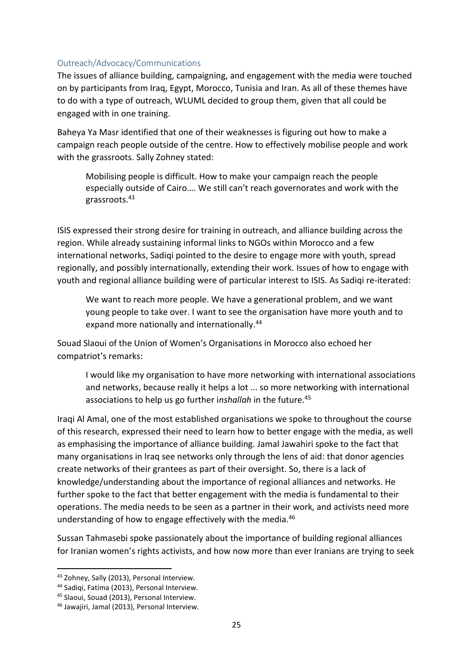#### Outreach/Advocacy/Communications

The issues of alliance building, campaigning, and engagement with the media were touched on by participants from Iraq, Egypt, Morocco, Tunisia and Iran. As all of these themes have to do with a type of outreach, WLUML decided to group them, given that all could be engaged with in one training.

Baheya Ya Masr identified that one of their weaknesses is figuring out how to make a campaign reach people outside of the centre. How to effectively mobilise people and work with the grassroots. Sally Zohney stated:

Mobilising people is difficult. How to make your campaign reach the people especially outside of Cairo…. We still can't reach governorates and work with the grassroots.<sup>43</sup>

ISIS expressed their strong desire for training in outreach, and alliance building across the region. While already sustaining informal links to NGOs within Morocco and a few international networks, Sadiqi pointed to the desire to engage more with youth, spread regionally, and possibly internationally, extending their work. Issues of how to engage with youth and regional alliance building were of particular interest to ISIS. As Sadiqi re-iterated:

We want to reach more people. We have a generational problem, and we want young people to take over. I want to see the organisation have more youth and to expand more nationally and internationally.<sup>44</sup>

Souad Slaoui of the Union of Women's Organisations in Morocco also echoed her compatriot's remarks:

I would like my organisation to have more networking with international associations and networks, because really it helps a lot ... so more networking with international associations to help us go further i*nshallah* in the future.<sup>45</sup>

Iraqi Al Amal, one of the most established organisations we spoke to throughout the course of this research, expressed their need to learn how to better engage with the media, as well as emphasising the importance of alliance building. Jamal Jawahiri spoke to the fact that many organisations in Iraq see networks only through the lens of aid: that donor agencies create networks of their grantees as part of their oversight. So, there is a lack of knowledge/understanding about the importance of regional alliances and networks. He further spoke to the fact that better engagement with the media is fundamental to their operations. The media needs to be seen as a partner in their work, and activists need more understanding of how to engage effectively with the media.<sup>46</sup>

Sussan Tahmasebi spoke passionately about the importance of building regional alliances for Iranian women's rights activists, and how now more than ever Iranians are trying to seek

<sup>43</sup> Zohney, Sally (2013), Personal Interview.

<sup>44</sup> Sadiqi, Fatima (2013), Personal Interview.

<sup>45</sup> Slaoui, Souad (2013), Personal Interview.

<sup>46</sup> Jawajiri, Jamal (2013), Personal Interview.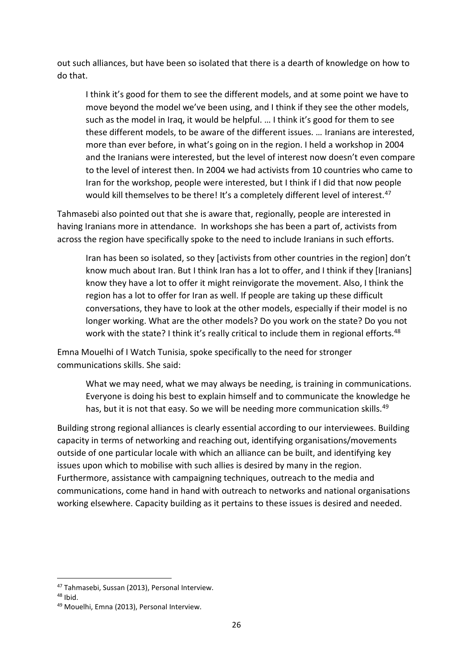out such alliances, but have been so isolated that there is a dearth of knowledge on how to do that.

I think it's good for them to see the different models, and at some point we have to move beyond the model we've been using, and I think if they see the other models, such as the model in Iraq, it would be helpful. … I think it's good for them to see these different models, to be aware of the different issues. … Iranians are interested, more than ever before, in what's going on in the region. I held a workshop in 2004 and the Iranians were interested, but the level of interest now doesn't even compare to the level of interest then. In 2004 we had activists from 10 countries who came to Iran for the workshop, people were interested, but I think if I did that now people would kill themselves to be there! It's a completely different level of interest.<sup>47</sup>

Tahmasebi also pointed out that she is aware that, regionally, people are interested in having Iranians more in attendance. In workshops she has been a part of, activists from across the region have specifically spoke to the need to include Iranians in such efforts.

Iran has been so isolated, so they [activists from other countries in the region] don't know much about Iran. But I think Iran has a lot to offer, and I think if they [Iranians] know they have a lot to offer it might reinvigorate the movement. Also, I think the region has a lot to offer for Iran as well. If people are taking up these difficult conversations, they have to look at the other models, especially if their model is no longer working. What are the other models? Do you work on the state? Do you not work with the state? I think it's really critical to include them in regional efforts.<sup>48</sup>

Emna Mouelhi of I Watch Tunisia, spoke specifically to the need for stronger communications skills. She said:

What we may need, what we may always be needing, is training in communications. Everyone is doing his best to explain himself and to communicate the knowledge he has, but it is not that easy. So we will be needing more communication skills.<sup>49</sup>

Building strong regional alliances is clearly essential according to our interviewees. Building capacity in terms of networking and reaching out, identifying organisations/movements outside of one particular locale with which an alliance can be built, and identifying key issues upon which to mobilise with such allies is desired by many in the region. Furthermore, assistance with campaigning techniques, outreach to the media and communications, come hand in hand with outreach to networks and national organisations working elsewhere. Capacity building as it pertains to these issues is desired and needed.

**<sup>.</sup>** <sup>47</sup> Tahmasebi, Sussan (2013), Personal Interview.

<sup>48</sup> Ibid.

<sup>49</sup> Mouelhi, Emna (2013), Personal Interview.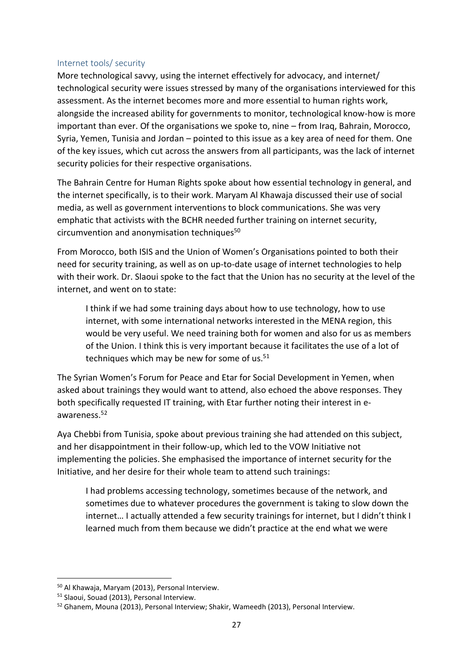#### Internet tools/ security

More technological savvy, using the internet effectively for advocacy, and internet/ technological security were issues stressed by many of the organisations interviewed for this assessment. As the internet becomes more and more essential to human rights work, alongside the increased ability for governments to monitor, technological know-how is more important than ever. Of the organisations we spoke to, nine – from Iraq, Bahrain, Morocco, Syria, Yemen, Tunisia and Jordan – pointed to this issue as a key area of need for them. One of the key issues, which cut across the answers from all participants, was the lack of internet security policies for their respective organisations.

The Bahrain Centre for Human Rights spoke about how essential technology in general, and the internet specifically, is to their work. Maryam Al Khawaja discussed their use of social media, as well as government interventions to block communications. She was very emphatic that activists with the BCHR needed further training on internet security, circumvention and anonymisation techniques<sup>50</sup>

From Morocco, both ISIS and the Union of Women's Organisations pointed to both their need for security training, as well as on up-to-date usage of internet technologies to help with their work. Dr. Slaoui spoke to the fact that the Union has no security at the level of the internet, and went on to state:

I think if we had some training days about how to use technology, how to use internet, with some international networks interested in the MENA region, this would be very useful. We need training both for women and also for us as members of the Union. I think this is very important because it facilitates the use of a lot of techniques which may be new for some of  $us.51$ 

The Syrian Women's Forum for Peace and Etar for Social Development in Yemen, when asked about trainings they would want to attend, also echoed the above responses. They both specifically requested IT training, with Etar further noting their interest in eawareness.<sup>52</sup>

Aya Chebbi from Tunisia, spoke about previous training she had attended on this subject, and her disappointment in their follow-up, which led to the VOW Initiative not implementing the policies. She emphasised the importance of internet security for the Initiative, and her desire for their whole team to attend such trainings:

I had problems accessing technology, sometimes because of the network, and sometimes due to whatever procedures the government is taking to slow down the internet… I actually attended a few security trainings for internet, but I didn't think I learned much from them because we didn't practice at the end what we were

**<sup>.</sup>** <sup>50</sup> Al Khawaja, Maryam (2013), Personal Interview.

<sup>51</sup> Slaoui, Souad (2013), Personal Interview.

<sup>52</sup> Ghanem, Mouna (2013), Personal Interview; Shakir, Wameedh (2013), Personal Interview.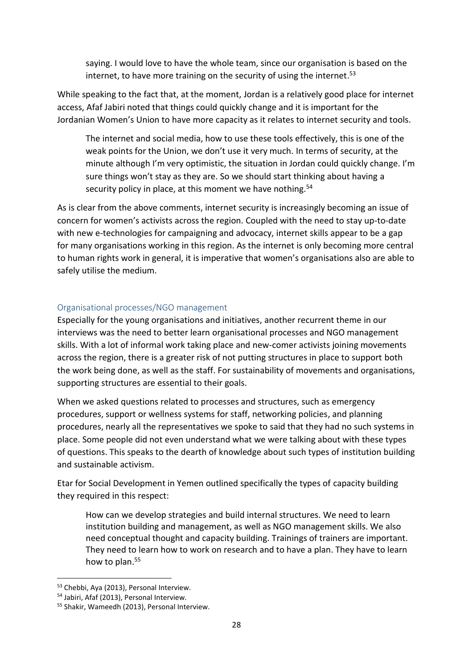saying. I would love to have the whole team, since our organisation is based on the internet, to have more training on the security of using the internet. 53

While speaking to the fact that, at the moment, Jordan is a relatively good place for internet access, Afaf Jabiri noted that things could quickly change and it is important for the Jordanian Women's Union to have more capacity as it relates to internet security and tools.

The internet and social media, how to use these tools effectively, this is one of the weak points for the Union, we don't use it very much. In terms of security, at the minute although I'm very optimistic, the situation in Jordan could quickly change. I'm sure things won't stay as they are. So we should start thinking about having a security policy in place, at this moment we have nothing.<sup>54</sup>

As is clear from the above comments, internet security is increasingly becoming an issue of concern for women's activists across the region. Coupled with the need to stay up-to-date with new e-technologies for campaigning and advocacy, internet skills appear to be a gap for many organisations working in this region. As the internet is only becoming more central to human rights work in general, it is imperative that women's organisations also are able to safely utilise the medium.

#### Organisational processes/NGO management

Especially for the young organisations and initiatives, another recurrent theme in our interviews was the need to better learn organisational processes and NGO management skills. With a lot of informal work taking place and new-comer activists joining movements across the region, there is a greater risk of not putting structures in place to support both the work being done, as well as the staff. For sustainability of movements and organisations, supporting structures are essential to their goals.

When we asked questions related to processes and structures, such as emergency procedures, support or wellness systems for staff, networking policies, and planning procedures, nearly all the representatives we spoke to said that they had no such systems in place. Some people did not even understand what we were talking about with these types of questions. This speaks to the dearth of knowledge about such types of institution building and sustainable activism.

Etar for Social Development in Yemen outlined specifically the types of capacity building they required in this respect:

How can we develop strategies and build internal structures. We need to learn institution building and management, as well as NGO management skills. We also need conceptual thought and capacity building. Trainings of trainers are important. They need to learn how to work on research and to have a plan. They have to learn how to plan.<sup>55</sup>

**<sup>.</sup>** <sup>53</sup> Chebbi, Aya (2013), Personal Interview.

<sup>54</sup> Jabiri, Afaf (2013), Personal Interview.

<sup>55</sup> Shakir, Wameedh (2013), Personal Interview.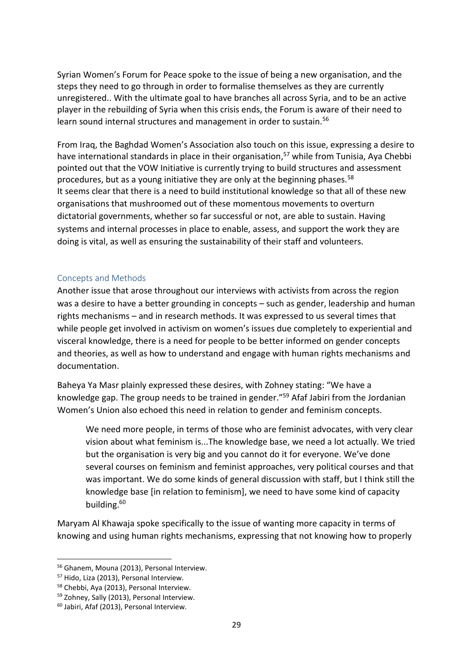Syrian Women's Forum for Peace spoke to the issue of being a new organisation, and the steps they need to go through in order to formalise themselves as they are currently unregistered.. With the ultimate goal to have branches all across Syria, and to be an active player in the rebuilding of Syria when this crisis ends, the Forum is aware of their need to learn sound internal structures and management in order to sustain.<sup>56</sup>

From Iraq, the Baghdad Women's Association also touch on this issue, expressing a desire to have international standards in place in their organisation, <sup>57</sup> while from Tunisia, Aya Chebbi pointed out that the VOW Initiative is currently trying to build structures and assessment procedures, but as a young initiative they are only at the beginning phases.<sup>58</sup> It seems clear that there is a need to build institutional knowledge so that all of these new organisations that mushroomed out of these momentous movements to overturn dictatorial governments, whether so far successful or not, are able to sustain. Having systems and internal processes in place to enable, assess, and support the work they are doing is vital, as well as ensuring the sustainability of their staff and volunteers.

#### Concepts and Methods

Another issue that arose throughout our interviews with activists from across the region was a desire to have a better grounding in concepts – such as gender, leadership and human rights mechanisms – and in research methods. It was expressed to us several times that while people get involved in activism on women's issues due completely to experiential and visceral knowledge, there is a need for people to be better informed on gender concepts and theories, as well as how to understand and engage with human rights mechanisms and documentation.

Baheya Ya Masr plainly expressed these desires, with Zohney stating: "We have a knowledge gap. The group needs to be trained in gender."<sup>59</sup> Afaf Jabiri from the Jordanian Women's Union also echoed this need in relation to gender and feminism concepts.

We need more people, in terms of those who are feminist advocates, with very clear vision about what feminism is...The knowledge base, we need a lot actually. We tried but the organisation is very big and you cannot do it for everyone. We've done several courses on feminism and feminist approaches, very political courses and that was important. We do some kinds of general discussion with staff, but I think still the knowledge base [in relation to feminism], we need to have some kind of capacity building.<sup>60</sup>

Maryam Al Khawaja spoke specifically to the issue of wanting more capacity in terms of knowing and using human rights mechanisms, expressing that not knowing how to properly

 $\overline{a}$ 

<sup>56</sup> Ghanem, Mouna (2013), Personal Interview.

<sup>57</sup> Hido, Liza (2013), Personal Interview.

<sup>58</sup> Chebbi, Aya (2013), Personal Interview.

<sup>59</sup> Zohney, Sally (2013), Personal Interview.

<sup>60</sup> Jabiri, Afaf (2013), Personal Interview.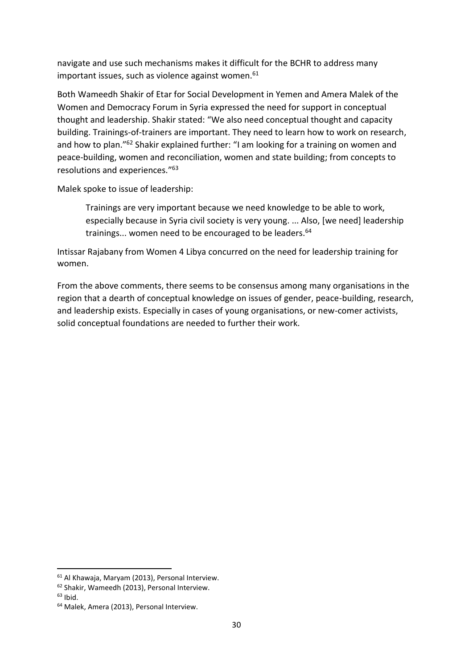navigate and use such mechanisms makes it difficult for the BCHR to address many important issues, such as violence against women. 61

Both Wameedh Shakir of Etar for Social Development in Yemen and Amera Malek of the Women and Democracy Forum in Syria expressed the need for support in conceptual thought and leadership. Shakir stated: "We also need conceptual thought and capacity building. Trainings-of-trainers are important. They need to learn how to work on research, and how to plan."<sup>62</sup> Shakir explained further: "I am looking for a training on women and peace-building, women and reconciliation, women and state building; from concepts to resolutions and experiences." 63

Malek spoke to issue of leadership:

Trainings are very important because we need knowledge to be able to work, especially because in Syria civil society is very young. ... Also, [we need] leadership trainings... women need to be encouraged to be leaders.<sup>64</sup>

Intissar Rajabany from Women 4 Libya concurred on the need for leadership training for women.

From the above comments, there seems to be consensus among many organisations in the region that a dearth of conceptual knowledge on issues of gender, peace-building, research, and leadership exists. Especially in cases of young organisations, or new-comer activists, solid conceptual foundations are needed to further their work.

<sup>61</sup> Al Khawaja, Maryam (2013), Personal Interview.

<sup>62</sup> Shakir, Wameedh (2013), Personal Interview.

 $63$  Ibid.

<sup>64</sup> Malek, Amera (2013), Personal Interview.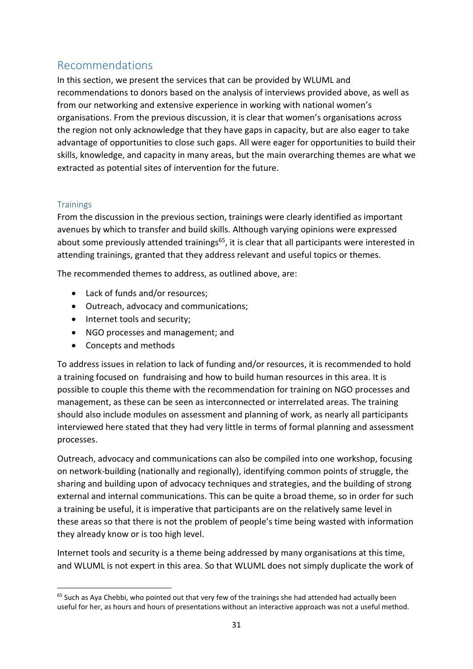# Recommendations

In this section, we present the services that can be provided by WLUML and recommendations to donors based on the analysis of interviews provided above, as well as from our networking and extensive experience in working with national women's organisations. From the previous discussion, it is clear that women's organisations across the region not only acknowledge that they have gaps in capacity, but are also eager to take advantage of opportunities to close such gaps. All were eager for opportunities to build their skills, knowledge, and capacity in many areas, but the main overarching themes are what we extracted as potential sites of intervention for the future.

## **Trainings**

From the discussion in the previous section, trainings were clearly identified as important avenues by which to transfer and build skills. Although varying opinions were expressed about some previously attended trainings<sup>65</sup>, it is clear that all participants were interested in attending trainings, granted that they address relevant and useful topics or themes.

The recommended themes to address, as outlined above, are:

- Lack of funds and/or resources;
- Outreach, advocacy and communications;
- Internet tools and security;
- NGO processes and management; and
- Concepts and methods

To address issues in relation to lack of funding and/or resources, it is recommended to hold a training focused on fundraising and how to build human resources in this area. It is possible to couple this theme with the recommendation for training on NGO processes and management, as these can be seen as interconnected or interrelated areas. The training should also include modules on assessment and planning of work, as nearly all participants interviewed here stated that they had very little in terms of formal planning and assessment processes.

Outreach, advocacy and communications can also be compiled into one workshop, focusing on network-building (nationally and regionally), identifying common points of struggle, the sharing and building upon of advocacy techniques and strategies, and the building of strong external and internal communications. This can be quite a broad theme, so in order for such a training be useful, it is imperative that participants are on the relatively same level in these areas so that there is not the problem of people's time being wasted with information they already know or is too high level.

Internet tools and security is a theme being addressed by many organisations at this time, and WLUML is not expert in this area. So that WLUML does not simply duplicate the work of

**<sup>.</sup>** <sup>65</sup> Such as Aya Chebbi, who pointed out that very few of the trainings she had attended had actually been useful for her, as hours and hours of presentations without an interactive approach was not a useful method.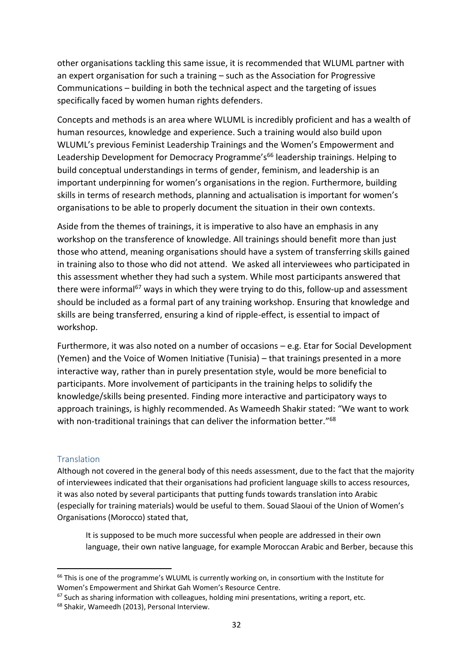other organisations tackling this same issue, it is recommended that WLUML partner with an expert organisation for such a training – such as the Association for Progressive Communications – building in both the technical aspect and the targeting of issues specifically faced by women human rights defenders.

Concepts and methods is an area where WLUML is incredibly proficient and has a wealth of human resources, knowledge and experience. Such a training would also build upon WLUML's previous Feminist Leadership Trainings and the Women's Empowerment and Leadership Development for Democracy Programme's<sup>66</sup> leadership trainings. Helping to build conceptual understandings in terms of gender, feminism, and leadership is an important underpinning for women's organisations in the region. Furthermore, building skills in terms of research methods, planning and actualisation is important for women's organisations to be able to properly document the situation in their own contexts.

Aside from the themes of trainings, it is imperative to also have an emphasis in any workshop on the transference of knowledge. All trainings should benefit more than just those who attend, meaning organisations should have a system of transferring skills gained in training also to those who did not attend. We asked all interviewees who participated in this assessment whether they had such a system. While most participants answered that there were informal<sup>67</sup> ways in which they were trying to do this, follow-up and assessment should be included as a formal part of any training workshop. Ensuring that knowledge and skills are being transferred, ensuring a kind of ripple-effect, is essential to impact of workshop.

Furthermore, it was also noted on a number of occasions – e.g. Etar for Social Development (Yemen) and the Voice of Women Initiative (Tunisia) – that trainings presented in a more interactive way, rather than in purely presentation style, would be more beneficial to participants. More involvement of participants in the training helps to solidify the knowledge/skills being presented. Finding more interactive and participatory ways to approach trainings, is highly recommended. As Wameedh Shakir stated: "We want to work with non-traditional trainings that can deliver the information better."<sup>68</sup>

## **Translation**

**.** 

Although not covered in the general body of this needs assessment, due to the fact that the majority of interviewees indicated that their organisations had proficient language skills to access resources, it was also noted by several participants that putting funds towards translation into Arabic (especially for training materials) would be useful to them. Souad Slaoui of the Union of Women's Organisations (Morocco) stated that,

It is supposed to be much more successful when people are addressed in their own language, their own native language, for example Moroccan Arabic and Berber, because this

<sup>&</sup>lt;sup>66</sup> This is one of the programme's WLUML is currently working on, in consortium with the Institute for Women's Empowerment and Shirkat Gah Women's Resource Centre.

<sup>&</sup>lt;sup>67</sup> Such as sharing information with colleagues, holding mini presentations, writing a report, etc.

<sup>68</sup> Shakir, Wameedh (2013), Personal Interview.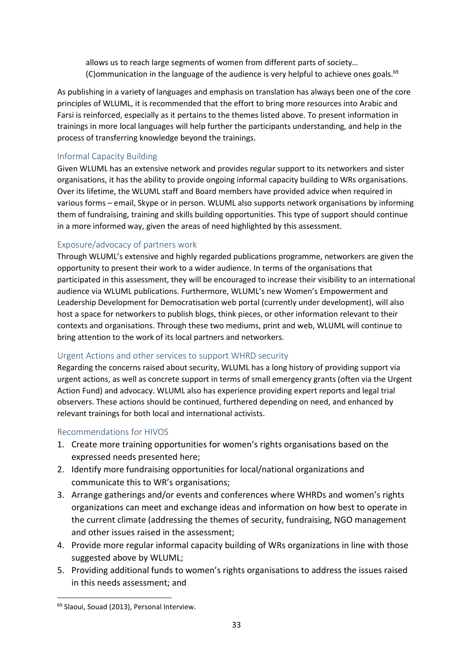allows us to reach large segments of women from different parts of society… (C)ommunication in the language of the audience is very helpful to achieve ones goals. $69$ 

As publishing in a variety of languages and emphasis on translation has always been one of the core principles of WLUML, it is recommended that the effort to bring more resources into Arabic and Farsi is reinforced, especially as it pertains to the themes listed above. To present information in trainings in more local languages will help further the participants understanding, and help in the process of transferring knowledge beyond the trainings.

#### Informal Capacity Building

Given WLUML has an extensive network and provides regular support to its networkers and sister organisations, it has the ability to provide ongoing informal capacity building to WRs organisations. Over its lifetime, the WLUML staff and Board members have provided advice when required in various forms – email, Skype or in person. WLUML also supports network organisations by informing them of fundraising, training and skills building opportunities. This type of support should continue in a more informed way, given the areas of need highlighted by this assessment.

## Exposure/advocacy of partners work

Through WLUML's extensive and highly regarded publications programme, networkers are given the opportunity to present their work to a wider audience. In terms of the organisations that participated in this assessment, they will be encouraged to increase their visibility to an international audience via WLUML publications. Furthermore, WLUML's new Women's Empowerment and Leadership Development for Democratisation web portal (currently under development), will also host a space for networkers to publish blogs, think pieces, or other information relevant to their contexts and organisations. Through these two mediums, print and web, WLUML will continue to bring attention to the work of its local partners and networkers.

## Urgent Actions and other services to support WHRD security

Regarding the concerns raised about security, WLUML has a long history of providing support via urgent actions, as well as concrete support in terms of small emergency grants (often via the Urgent Action Fund) and advocacy. WLUML also has experience providing expert reports and legal trial observers. These actions should be continued, furthered depending on need, and enhanced by relevant trainings for both local and international activists.

#### Recommendations for HIVOS

- 1. Create more training opportunities for women's rights organisations based on the expressed needs presented here;
- 2. Identify more fundraising opportunities for local/national organizations and communicate this to WR's organisations;
- 3. Arrange gatherings and/or events and conferences where WHRDs and women's rights organizations can meet and exchange ideas and information on how best to operate in the current climate (addressing the themes of security, fundraising, NGO management and other issues raised in the assessment;
- 4. Provide more regular informal capacity building of WRs organizations in line with those suggested above by WLUML;
- 5. Providing additional funds to women's rights organisations to address the issues raised in this needs assessment; and

<sup>69</sup> Slaoui, Souad (2013), Personal Interview.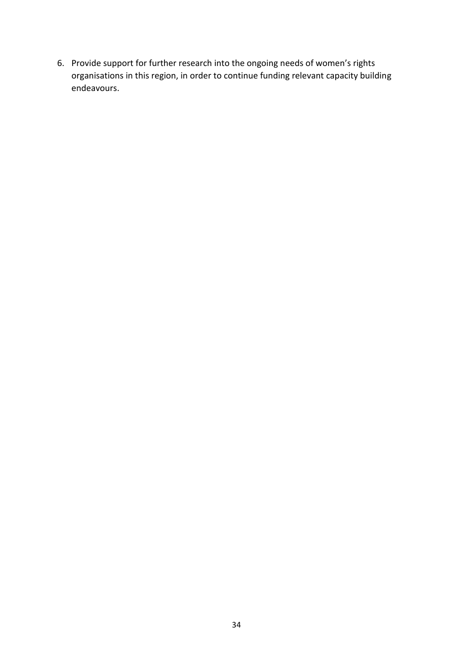6. Provide support for further research into the ongoing needs of women's rights organisations in this region, in order to continue funding relevant capacity building endeavours.